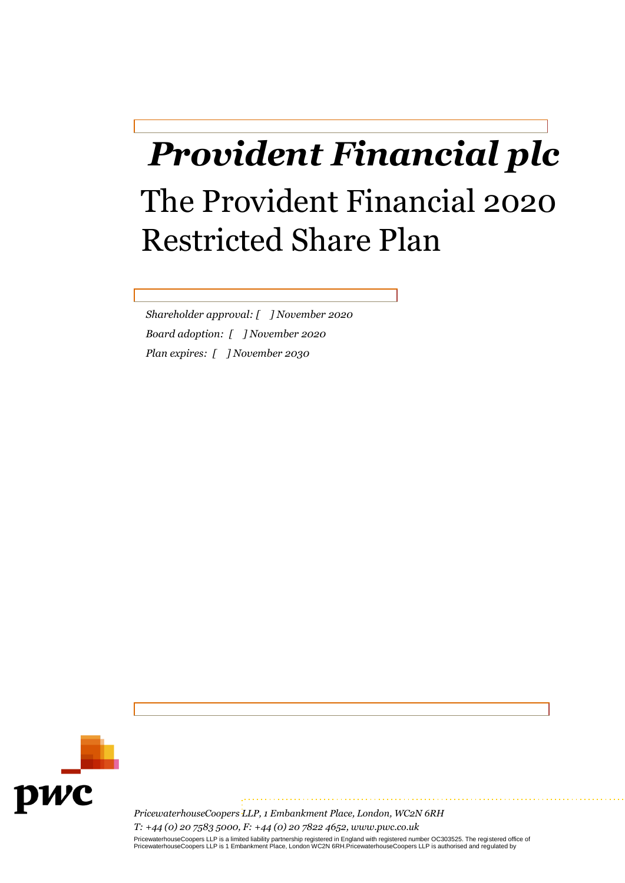# *Provident Financial plc* The Provident Financial 2020 Restricted Share Plan

*Shareholder approval: [ ] November 2020 Board adoption: [ ] November 2020 Plan expires: [ ] November 2030*



*PricewaterhouseCoopers LLP, 1 Embankment Place, London, WC2N 6RH T: +44 (0) 20 7583 5000, F: +44 (0) 20 7822 4652, www.pwc.co.uk*  PricewaterhouseCoopers LLP is a limited liability partnership registered in England with registered number OC303525. The registered office of<br>PricewaterhouseCoopers LLP is 1 Embankment Place, London WC2N 6RH.Pricewaterhous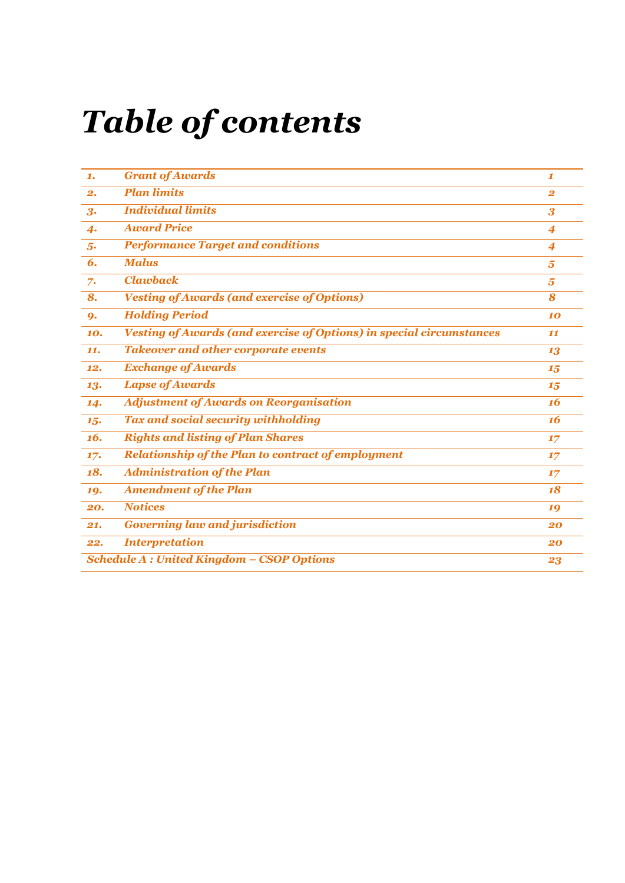# *Table of contents*

| 1.                                               | <b>Grant of Awards</b>                                                      | 1                |
|--------------------------------------------------|-----------------------------------------------------------------------------|------------------|
| 2.                                               | <b>Plan limits</b>                                                          | $\overline{2}$   |
| 3.                                               | <b>Individual limits</b>                                                    | 3                |
| $\boldsymbol{4}$                                 | <b>Award Price</b>                                                          | 4                |
| 5.                                               | <b>Performance Target and conditions</b>                                    | $\boldsymbol{4}$ |
| 6.                                               | <b>Malus</b>                                                                | 5                |
| 7.                                               | <b>Clawback</b>                                                             | 5                |
| 8.                                               | <b>Vesting of Awards (and exercise of Options)</b>                          | 8                |
| 9.                                               | <b>Holding Period</b>                                                       | 10               |
| 10.                                              | <b>Vesting of Awards (and exercise of Options) in special circumstances</b> | 11               |
| 11.                                              | <b>Takeover and other corporate events</b>                                  | 13               |
| 12.                                              | <b>Exchange of Awards</b>                                                   | 15               |
| 13.                                              | <b>Lapse of Awards</b>                                                      | 15               |
| 14.                                              | <b>Adjustment of Awards on Reorganisation</b>                               | 16               |
| 15.                                              | <b>Tax and social security withholding</b>                                  | 16               |
| 16.                                              | <b>Rights and listing of Plan Shares</b>                                    | 17               |
| 17.                                              | <b>Relationship of the Plan to contract of employment</b>                   | 17               |
| 18.                                              | <b>Administration of the Plan</b>                                           | 17               |
| 19.                                              | <b>Amendment of the Plan</b>                                                | 18               |
| 20.                                              | <b>Notices</b>                                                              | 19               |
| 21.                                              | <b>Governing law and jurisdiction</b>                                       | 20               |
| 22.                                              | <b>Interpretation</b>                                                       | 20               |
| <b>Schedule A: United Kingdom - CSOP Options</b> |                                                                             | 23               |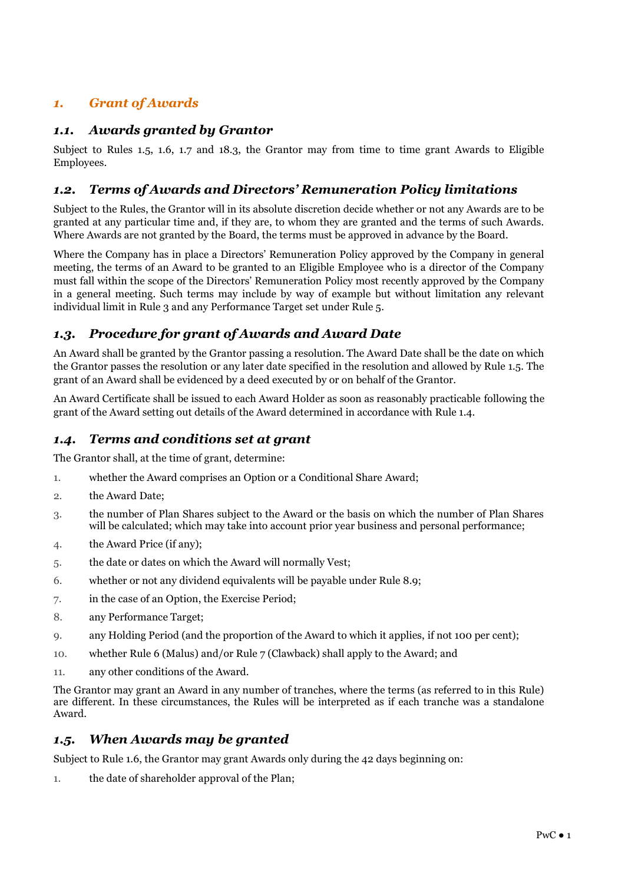# *1. Grant of Awards*

# *1.1. Awards granted by Grantor*

Subject to Rules 1.5, 1.6, 1.7 and 18.3, the Grantor may from time to time grant Awards to Eligible Employees.

# *1.2. Terms of Awards and Directors' Remuneration Policy limitations*

Subject to the Rules, the Grantor will in its absolute discretion decide whether or not any Awards are to be granted at any particular time and, if they are, to whom they are granted and the terms of such Awards. Where Awards are not granted by the Board, the terms must be approved in advance by the Board.

Where the Company has in place a Directors' Remuneration Policy approved by the Company in general meeting, the terms of an Award to be granted to an Eligible Employee who is a director of the Company must fall within the scope of the Directors' Remuneration Policy most recently approved by the Company in a general meeting. Such terms may include by way of example but without limitation any relevant individual limit in Rule 3 and any Performance Target set under Rule 5.

# *1.3. Procedure for grant of Awards and Award Date*

An Award shall be granted by the Grantor passing a resolution. The Award Date shall be the date on which the Grantor passes the resolution or any later date specified in the resolution and allowed by Rule 1.5. The grant of an Award shall be evidenced by a deed executed by or on behalf of the Grantor.

An Award Certificate shall be issued to each Award Holder as soon as reasonably practicable following the grant of the Award setting out details of the Award determined in accordance with Rule 1.4.

# *1.4. Terms and conditions set at grant*

The Grantor shall, at the time of grant, determine:

- 1. whether the Award comprises an Option or a Conditional Share Award;
- 2. the Award Date;
- 3. the number of Plan Shares subject to the Award or the basis on which the number of Plan Shares will be calculated; which may take into account prior year business and personal performance;
- 4. the Award Price (if any);
- 5. the date or dates on which the Award will normally Vest;
- 6. whether or not any dividend equivalents will be payable under Rule 8.9;
- 7. in the case of an Option, the Exercise Period;
- 8. any Performance Target;
- 9. any Holding Period (and the proportion of the Award to which it applies, if not 100 per cent);
- 10. whether Rule 6 (Malus) and/or Rule 7 (Clawback) shall apply to the Award; and
- 11. any other conditions of the Award.

The Grantor may grant an Award in any number of tranches, where the terms (as referred to in this Rule) are different. In these circumstances, the Rules will be interpreted as if each tranche was a standalone Award.

# *1.5. When Awards may be granted*

Subject to Rule 1.6, the Grantor may grant Awards only during the 42 days beginning on:

1. the date of shareholder approval of the Plan;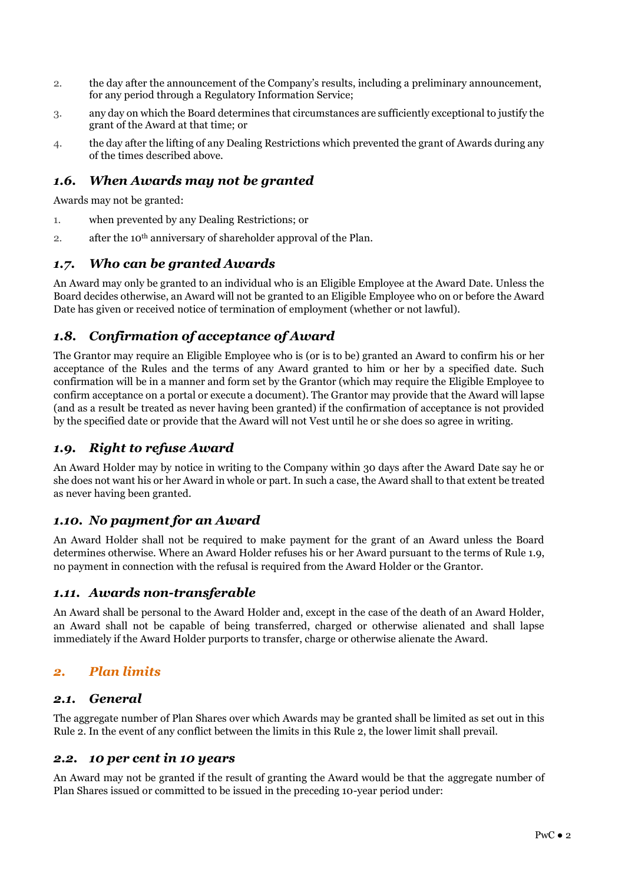- 2. the day after the announcement of the Company's results, including a preliminary announcement, for any period through a Regulatory Information Service;
- 3. any day on which the Board determines that circumstances are sufficiently exceptional to justify the grant of the Award at that time; or
- 4. the day after the lifting of any Dealing Restrictions which prevented the grant of Awards during any of the times described above.

# *1.6. When Awards may not be granted*

Awards may not be granted:

- 1. when prevented by any Dealing Restrictions; or
- 2. after the 10th anniversary of shareholder approval of the Plan.

# *1.7. Who can be granted Awards*

An Award may only be granted to an individual who is an Eligible Employee at the Award Date. Unless the Board decides otherwise, an Award will not be granted to an Eligible Employee who on or before the Award Date has given or received notice of termination of employment (whether or not lawful).

# *1.8. Confirmation of acceptance of Award*

The Grantor may require an Eligible Employee who is (or is to be) granted an Award to confirm his or her acceptance of the Rules and the terms of any Award granted to him or her by a specified date. Such confirmation will be in a manner and form set by the Grantor (which may require the Eligible Employee to confirm acceptance on a portal or execute a document). The Grantor may provide that the Award will lapse (and as a result be treated as never having been granted) if the confirmation of acceptance is not provided by the specified date or provide that the Award will not Vest until he or she does so agree in writing.

# *1.9. Right to refuse Award*

An Award Holder may by notice in writing to the Company within 30 days after the Award Date say he or she does not want his or her Award in whole or part. In such a case, the Award shall to that extent be treated as never having been granted.

# *1.10. No payment for an Award*

An Award Holder shall not be required to make payment for the grant of an Award unless the Board determines otherwise. Where an Award Holder refuses his or her Award pursuant to the terms of Rule 1.9, no payment in connection with the refusal is required from the Award Holder or the Grantor.

# *1.11. Awards non-transferable*

An Award shall be personal to the Award Holder and, except in the case of the death of an Award Holder, an Award shall not be capable of being transferred, charged or otherwise alienated and shall lapse immediately if the Award Holder purports to transfer, charge or otherwise alienate the Award.

# *2. Plan limits*

#### *2.1. General*

The aggregate number of Plan Shares over which Awards may be granted shall be limited as set out in this Rule 2. In the event of any conflict between the limits in this Rule 2, the lower limit shall prevail.

#### *2.2. 10 per cent in 10 years*

An Award may not be granted if the result of granting the Award would be that the aggregate number of Plan Shares issued or committed to be issued in the preceding 10-year period under: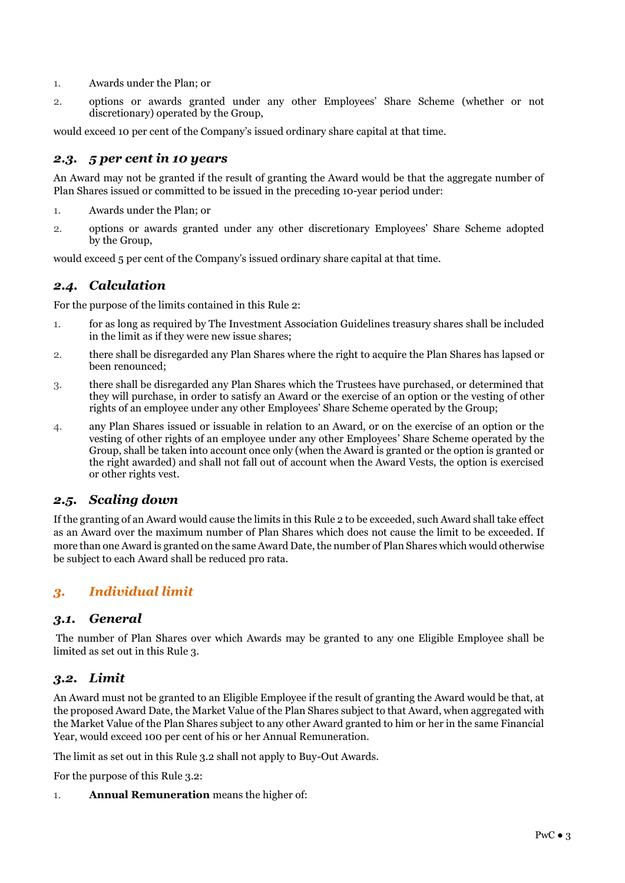- 1. Awards under the Plan; or
- 2. options or awards granted under any other Employees' Share Scheme (whether or not discretionary) operated by the Group,

would exceed 10 per cent of the Company's issued ordinary share capital at that time.

# *2.3. 5 per cent in 10 years*

An Award may not be granted if the result of granting the Award would be that the aggregate number of Plan Shares issued or committed to be issued in the preceding 10-year period under:

- 1. Awards under the Plan; or
- 2. options or awards granted under any other discretionary Employees' Share Scheme adopted by the Group,

would exceed 5 per cent of the Company's issued ordinary share capital at that time.

# *2.4. Calculation*

For the purpose of the limits contained in this Rule 2:

- 1. for as long as required by The Investment Association Guidelines treasury shares shall be included in the limit as if they were new issue shares;
- 2. there shall be disregarded any Plan Shares where the right to acquire the Plan Shares has lapsed or been renounced;
- 3. there shall be disregarded any Plan Shares which the Trustees have purchased, or determined that they will purchase, in order to satisfy an Award or the exercise of an option or the vesting of other rights of an employee under any other Employees' Share Scheme operated by the Group;
- 4. any Plan Shares issued or issuable in relation to an Award, or on the exercise of an option or the vesting of other rights of an employee under any other Employees' Share Scheme operated by the Group, shall be taken into account once only (when the Award is granted or the option is granted or the right awarded) and shall not fall out of account when the Award Vests, the option is exercised or other rights vest.

# *2.5. Scaling down*

If the granting of an Award would cause the limits in this Rule 2 to be exceeded, such Award shall take effect as an Award over the maximum number of Plan Shares which does not cause the limit to be exceeded. If more than one Award is granted on the same Award Date, the number of Plan Shares which would otherwise be subject to each Award shall be reduced pro rata.

# *3. Individual limit*

# *3.1. General*

The number of Plan Shares over which Awards may be granted to any one Eligible Employee shall be limited as set out in this Rule 3.

# *3.2. Limit*

An Award must not be granted to an Eligible Employee if the result of granting the Award would be that, at the proposed Award Date, the Market Value of the Plan Shares subject to that Award, when aggregated with the Market Value of the Plan Shares subject to any other Award granted to him or her in the same Financial Year, would exceed 100 per cent of his or her Annual Remuneration.

The limit as set out in this Rule 3.2 shall not apply to Buy-Out Awards.

For the purpose of this Rule 3.2:

1. **Annual Remuneration** means the higher of: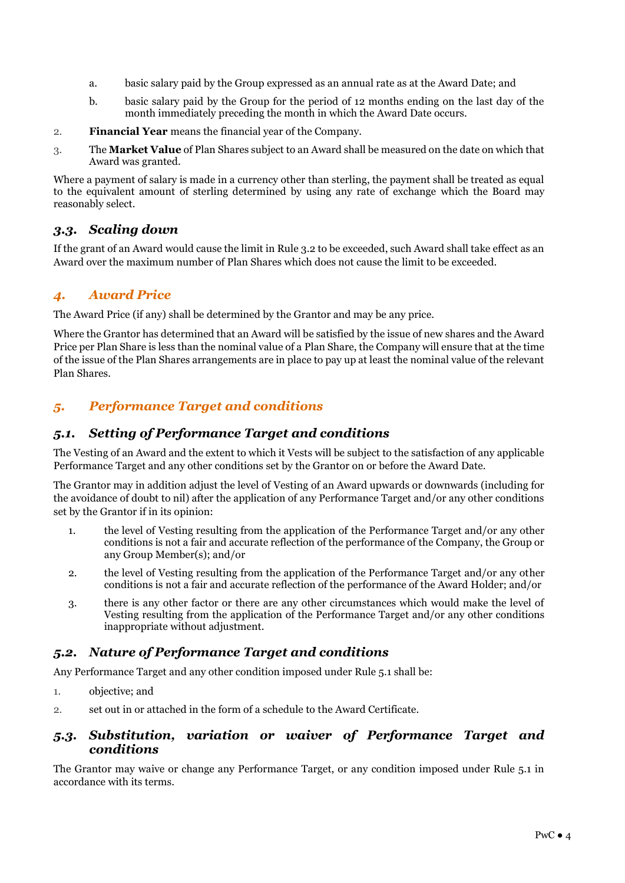- a. basic salary paid by the Group expressed as an annual rate as at the Award Date; and
- b. basic salary paid by the Group for the period of 12 months ending on the last day of the month immediately preceding the month in which the Award Date occurs.
- 2. **Financial Year** means the financial year of the Company.
- 3. The **Market Value** of Plan Shares subject to an Award shall be measured on the date on which that Award was granted.

Where a payment of salary is made in a currency other than sterling, the payment shall be treated as equal to the equivalent amount of sterling determined by using any rate of exchange which the Board may reasonably select.

# *3.3. Scaling down*

If the grant of an Award would cause the limit in Rule 3.2 to be exceeded, such Award shall take effect as an Award over the maximum number of Plan Shares which does not cause the limit to be exceeded.

# *4. Award Price*

The Award Price (if any) shall be determined by the Grantor and may be any price.

Where the Grantor has determined that an Award will be satisfied by the issue of new shares and the Award Price per Plan Share is less than the nominal value of a Plan Share, the Company will ensure that at the time of the issue of the Plan Shares arrangements are in place to pay up at least the nominal value of the relevant Plan Shares.

# *5. Performance Target and conditions*

# *5.1. Setting of Performance Target and conditions*

The Vesting of an Award and the extent to which it Vests will be subject to the satisfaction of any applicable Performance Target and any other conditions set by the Grantor on or before the Award Date.

The Grantor may in addition adjust the level of Vesting of an Award upwards or downwards (including for the avoidance of doubt to nil) after the application of any Performance Target and/or any other conditions set by the Grantor if in its opinion:

- 1. the level of Vesting resulting from the application of the Performance Target and/or any other conditions is not a fair and accurate reflection of the performance of the Company, the Group or any Group Member(s); and/or
- 2. the level of Vesting resulting from the application of the Performance Target and/or any other conditions is not a fair and accurate reflection of the performance of the Award Holder; and/or
- 3. there is any other factor or there are any other circumstances which would make the level of Vesting resulting from the application of the Performance Target and/or any other conditions inappropriate without adjustment.

# *5.2. Nature of Performance Target and conditions*

Any Performance Target and any other condition imposed under Rule 5.1 shall be:

- 1. objective; and
- 2. set out in or attached in the form of a schedule to the Award Certificate.

#### *5.3. Substitution, variation or waiver of Performance Target and conditions*

The Grantor may waive or change any Performance Target, or any condition imposed under Rule 5.1 in accordance with its terms.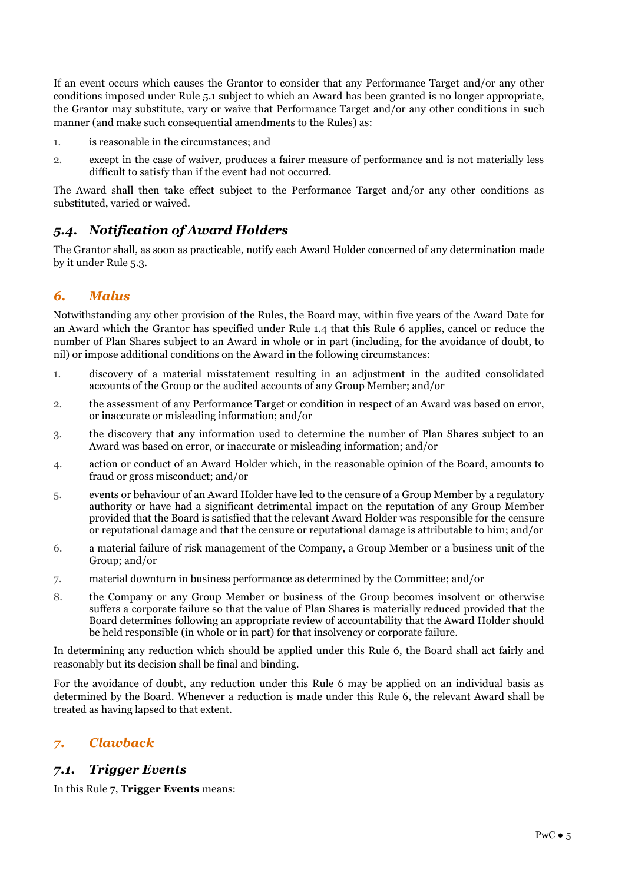If an event occurs which causes the Grantor to consider that any Performance Target and/or any other conditions imposed under Rule 5.1 subject to which an Award has been granted is no longer appropriate, the Grantor may substitute, vary or waive that Performance Target and/or any other conditions in such manner (and make such consequential amendments to the Rules) as:

- 1. is reasonable in the circumstances; and
- 2. except in the case of waiver, produces a fairer measure of performance and is not materially less difficult to satisfy than if the event had not occurred.

The Award shall then take effect subject to the Performance Target and/or any other conditions as substituted, varied or waived.

# *5.4. Notification of Award Holders*

The Grantor shall, as soon as practicable, notify each Award Holder concerned of any determination made by it under Rule 5.3.

# *6. Malus*

Notwithstanding any other provision of the Rules, the Board may, within five years of the Award Date for an Award which the Grantor has specified under Rule 1.4 that this Rule 6 applies, cancel or reduce the number of Plan Shares subject to an Award in whole or in part (including, for the avoidance of doubt, to nil) or impose additional conditions on the Award in the following circumstances:

- 1. discovery of a material misstatement resulting in an adjustment in the audited consolidated accounts of the Group or the audited accounts of any Group Member; and/or
- 2. the assessment of any Performance Target or condition in respect of an Award was based on error, or inaccurate or misleading information; and/or
- 3. the discovery that any information used to determine the number of Plan Shares subject to an Award was based on error, or inaccurate or misleading information; and/or
- 4. action or conduct of an Award Holder which, in the reasonable opinion of the Board, amounts to fraud or gross misconduct; and/or
- 5. events or behaviour of an Award Holder have led to the censure of a Group Member by a regulatory authority or have had a significant detrimental impact on the reputation of any Group Member provided that the Board is satisfied that the relevant Award Holder was responsible for the censure or reputational damage and that the censure or reputational damage is attributable to him; and/or
- 6. a material failure of risk management of the Company, a Group Member or a business unit of the Group; and/or
- 7. material downturn in business performance as determined by the Committee; and/or
- 8. the Company or any Group Member or business of the Group becomes insolvent or otherwise suffers a corporate failure so that the value of Plan Shares is materially reduced provided that the Board determines following an appropriate review of accountability that the Award Holder should be held responsible (in whole or in part) for that insolvency or corporate failure.

In determining any reduction which should be applied under this Rule 6, the Board shall act fairly and reasonably but its decision shall be final and binding.

For the avoidance of doubt, any reduction under this Rule 6 may be applied on an individual basis as determined by the Board. Whenever a reduction is made under this Rule 6, the relevant Award shall be treated as having lapsed to that extent.

# *7. Clawback*

# *7.1. Trigger Events*

In this Rule 7, **Trigger Events** means: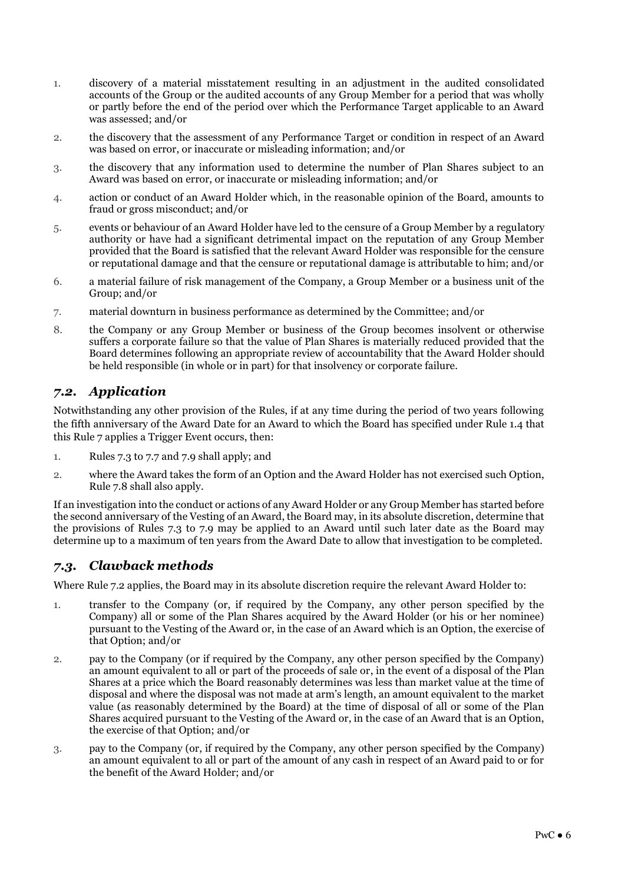- 1. discovery of a material misstatement resulting in an adjustment in the audited consolidated accounts of the Group or the audited accounts of any Group Member for a period that was wholly or partly before the end of the period over which the Performance Target applicable to an Award was assessed; and/or
- 2. the discovery that the assessment of any Performance Target or condition in respect of an Award was based on error, or inaccurate or misleading information; and/or
- 3. the discovery that any information used to determine the number of Plan Shares subject to an Award was based on error, or inaccurate or misleading information; and/or
- 4. action or conduct of an Award Holder which, in the reasonable opinion of the Board, amounts to fraud or gross misconduct; and/or
- 5. events or behaviour of an Award Holder have led to the censure of a Group Member by a regulatory authority or have had a significant detrimental impact on the reputation of any Group Member provided that the Board is satisfied that the relevant Award Holder was responsible for the censure or reputational damage and that the censure or reputational damage is attributable to him; and/or
- 6. a material failure of risk management of the Company, a Group Member or a business unit of the Group; and/or
- 7. material downturn in business performance as determined by the Committee; and/or
- 8. the Company or any Group Member or business of the Group becomes insolvent or otherwise suffers a corporate failure so that the value of Plan Shares is materially reduced provided that the Board determines following an appropriate review of accountability that the Award Holder should be held responsible (in whole or in part) for that insolvency or corporate failure.

# *7.2. Application*

Notwithstanding any other provision of the Rules, if at any time during the period of two years following the fifth anniversary of the Award Date for an Award to which the Board has specified under Rule 1.4 that this Rule 7 applies a Trigger Event occurs, then:

- 1. Rules 7.3 to 7.7 and 7.9 shall apply; and
- 2. where the Award takes the form of an Option and the Award Holder has not exercised such Option, Rule 7.8 shall also apply.

If an investigation into the conduct or actions of any Award Holder or any Group Member has started before the second anniversary of the Vesting of an Award, the Board may, in its absolute discretion, determine that the provisions of Rules 7.3 to 7.9 may be applied to an Award until such later date as the Board may determine up to a maximum of ten years from the Award Date to allow that investigation to be completed.

# *7.3. Clawback methods*

Where Rule 7.2 applies, the Board may in its absolute discretion require the relevant Award Holder to:

- 1. transfer to the Company (or, if required by the Company, any other person specified by the Company) all or some of the Plan Shares acquired by the Award Holder (or his or her nominee) pursuant to the Vesting of the Award or, in the case of an Award which is an Option, the exercise of that Option; and/or
- 2. pay to the Company (or if required by the Company, any other person specified by the Company) an amount equivalent to all or part of the proceeds of sale or, in the event of a disposal of the Plan Shares at a price which the Board reasonably determines was less than market value at the time of disposal and where the disposal was not made at arm's length, an amount equivalent to the market value (as reasonably determined by the Board) at the time of disposal of all or some of the Plan Shares acquired pursuant to the Vesting of the Award or, in the case of an Award that is an Option, the exercise of that Option; and/or
- 3. pay to the Company (or, if required by the Company, any other person specified by the Company) an amount equivalent to all or part of the amount of any cash in respect of an Award paid to or for the benefit of the Award Holder; and/or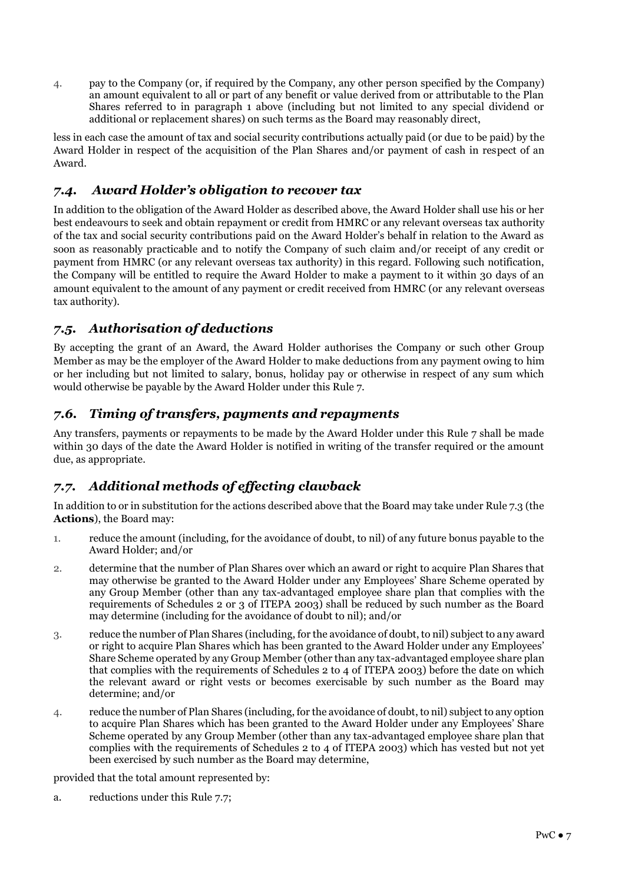4. pay to the Company (or, if required by the Company, any other person specified by the Company) an amount equivalent to all or part of any benefit or value derived from or attributable to the Plan Shares referred to in paragraph 1 above (including but not limited to any special dividend or additional or replacement shares) on such terms as the Board may reasonably direct,

less in each case the amount of tax and social security contributions actually paid (or due to be paid) by the Award Holder in respect of the acquisition of the Plan Shares and/or payment of cash in respect of an Award.

# *7.4. Award Holder's obligation to recover tax*

In addition to the obligation of the Award Holder as described above, the Award Holder shall use his or her best endeavours to seek and obtain repayment or credit from HMRC or any relevant overseas tax authority of the tax and social security contributions paid on the Award Holder's behalf in relation to the Award as soon as reasonably practicable and to notify the Company of such claim and/or receipt of any credit or payment from HMRC (or any relevant overseas tax authority) in this regard. Following such notification, the Company will be entitled to require the Award Holder to make a payment to it within 30 days of an amount equivalent to the amount of any payment or credit received from HMRC (or any relevant overseas tax authority).

# *7.5. Authorisation of deductions*

By accepting the grant of an Award, the Award Holder authorises the Company or such other Group Member as may be the employer of the Award Holder to make deductions from any payment owing to him or her including but not limited to salary, bonus, holiday pay or otherwise in respect of any sum which would otherwise be payable by the Award Holder under this Rule 7.

# *7.6. Timing of transfers, payments and repayments*

Any transfers, payments or repayments to be made by the Award Holder under this Rule 7 shall be made within 30 days of the date the Award Holder is notified in writing of the transfer required or the amount due, as appropriate.

# *7.7. Additional methods of effecting clawback*

In addition to or in substitution for the actions described above that the Board may take under Rule 7.3 (the **Actions**), the Board may:

- 1. reduce the amount (including, for the avoidance of doubt, to nil) of any future bonus payable to the Award Holder; and/or
- 2. determine that the number of Plan Shares over which an award or right to acquire Plan Shares that may otherwise be granted to the Award Holder under any Employees' Share Scheme operated by any Group Member (other than any tax-advantaged employee share plan that complies with the requirements of Schedules 2 or 3 of ITEPA 2003) shall be reduced by such number as the Board may determine (including for the avoidance of doubt to nil); and/or
- 3. reduce the number of Plan Shares (including, for the avoidance of doubt, to nil) subject to any award or right to acquire Plan Shares which has been granted to the Award Holder under any Employees' Share Scheme operated by any Group Member (other than any tax-advantaged employee share plan that complies with the requirements of Schedules 2 to 4 of ITEPA 2003) before the date on which the relevant award or right vests or becomes exercisable by such number as the Board may determine; and/or
- 4. reduce the number of Plan Shares (including, for the avoidance of doubt, to nil) subject to any option to acquire Plan Shares which has been granted to the Award Holder under any Employees' Share Scheme operated by any Group Member (other than any tax-advantaged employee share plan that complies with the requirements of Schedules 2 to 4 of ITEPA 2003) which has vested but not yet been exercised by such number as the Board may determine,

provided that the total amount represented by:

a. reductions under this Rule 7.7;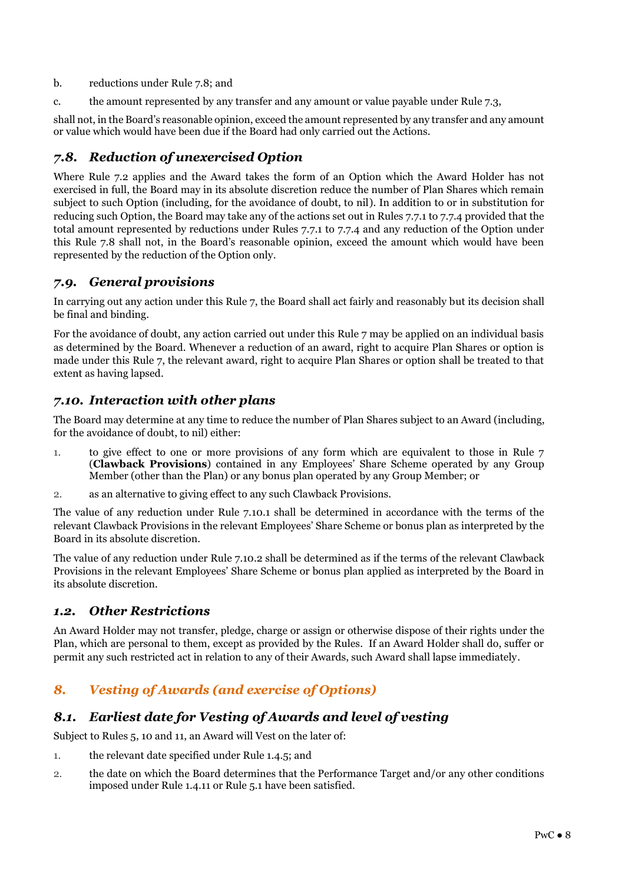- b. reductions under Rule 7.8; and
- c. the amount represented by any transfer and any amount or value payable under Rule 7.3,

shall not, in the Board's reasonable opinion, exceed the amount represented by any transfer and any amount or value which would have been due if the Board had only carried out the Actions.

# *7.8. Reduction of unexercised Option*

Where Rule 7.2 applies and the Award takes the form of an Option which the Award Holder has not exercised in full, the Board may in its absolute discretion reduce the number of Plan Shares which remain subject to such Option (including, for the avoidance of doubt, to nil). In addition to or in substitution for reducing such Option, the Board may take any of the actions set out in Rules 7.7.1 to 7.7.4 provided that the total amount represented by reductions under Rules 7.7.1 to 7.7.4 and any reduction of the Option under this Rule 7.8 shall not, in the Board's reasonable opinion, exceed the amount which would have been represented by the reduction of the Option only.

# *7.9. General provisions*

In carrying out any action under this Rule 7, the Board shall act fairly and reasonably but its decision shall be final and binding.

For the avoidance of doubt, any action carried out under this Rule 7 may be applied on an individual basis as determined by the Board. Whenever a reduction of an award, right to acquire Plan Shares or option is made under this Rule 7, the relevant award, right to acquire Plan Shares or option shall be treated to that extent as having lapsed.

# *7.10. Interaction with other plans*

The Board may determine at any time to reduce the number of Plan Shares subject to an Award (including, for the avoidance of doubt, to nil) either:

- 1. to give effect to one or more provisions of any form which are equivalent to those in Rule 7 (**Clawback Provisions**) contained in any Employees' Share Scheme operated by any Group Member (other than the Plan) or any bonus plan operated by any Group Member; or
- 2. as an alternative to giving effect to any such Clawback Provisions.

The value of any reduction under Rule 7.10.1 shall be determined in accordance with the terms of the relevant Clawback Provisions in the relevant Employees' Share Scheme or bonus plan as interpreted by the Board in its absolute discretion.

The value of any reduction under Rule 7.10.2 shall be determined as if the terms of the relevant Clawback Provisions in the relevant Employees' Share Scheme or bonus plan applied as interpreted by the Board in its absolute discretion.

# *1.2. Other Restrictions*

An Award Holder may not transfer, pledge, charge or assign or otherwise dispose of their rights under the Plan, which are personal to them, except as provided by the Rules. If an Award Holder shall do, suffer or permit any such restricted act in relation to any of their Awards, such Award shall lapse immediately.

# *8. Vesting of Awards (and exercise of Options)*

# *8.1. Earliest date for Vesting of Awards and level of vesting*

Subject to Rules 5, 10 and 11, an Award will Vest on the later of:

- 1. the relevant date specified under Rule 1.4.5; and
- 2. the date on which the Board determines that the Performance Target and/or any other conditions imposed under Rule 1.4.11 or Rule 5.1 have been satisfied.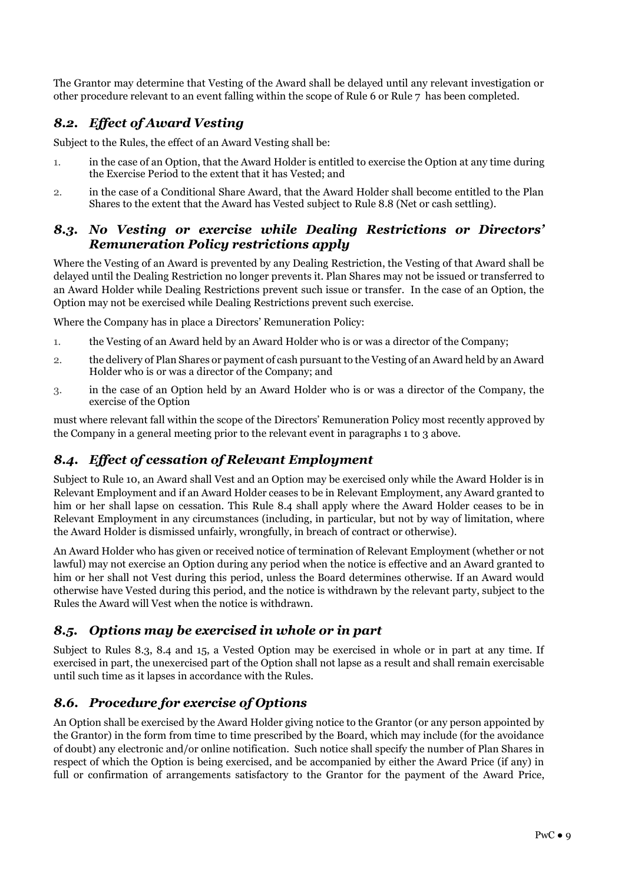The Grantor may determine that Vesting of the Award shall be delayed until any relevant investigation or other procedure relevant to an event falling within the scope of Rule 6 or Rule 7 has been completed.

# *8.2. Effect of Award Vesting*

Subject to the Rules, the effect of an Award Vesting shall be:

- 1. in the case of an Option, that the Award Holder is entitled to exercise the Option at any time during the Exercise Period to the extent that it has Vested; and
- 2. in the case of a Conditional Share Award, that the Award Holder shall become entitled to the Plan Shares to the extent that the Award has Vested subject to Rule 8.8 (Net or cash settling).

# *8.3. No Vesting or exercise while Dealing Restrictions or Directors' Remuneration Policy restrictions apply*

Where the Vesting of an Award is prevented by any Dealing Restriction, the Vesting of that Award shall be delayed until the Dealing Restriction no longer prevents it. Plan Shares may not be issued or transferred to an Award Holder while Dealing Restrictions prevent such issue or transfer. In the case of an Option, the Option may not be exercised while Dealing Restrictions prevent such exercise.

Where the Company has in place a Directors' Remuneration Policy:

- 1. the Vesting of an Award held by an Award Holder who is or was a director of the Company;
- 2. the delivery of Plan Shares or payment of cash pursuant to the Vesting of an Award held by an Award Holder who is or was a director of the Company; and
- 3. in the case of an Option held by an Award Holder who is or was a director of the Company, the exercise of the Option

must where relevant fall within the scope of the Directors' Remuneration Policy most recently approved by the Company in a general meeting prior to the relevant event in paragraphs 1 to 3 above.

# *8.4. Effect of cessation of Relevant Employment*

Subject to Rule 10, an Award shall Vest and an Option may be exercised only while the Award Holder is in Relevant Employment and if an Award Holder ceases to be in Relevant Employment, any Award granted to him or her shall lapse on cessation. This Rule 8.4 shall apply where the Award Holder ceases to be in Relevant Employment in any circumstances (including, in particular, but not by way of limitation, where the Award Holder is dismissed unfairly, wrongfully, in breach of contract or otherwise).

An Award Holder who has given or received notice of termination of Relevant Employment (whether or not lawful) may not exercise an Option during any period when the notice is effective and an Award granted to him or her shall not Vest during this period, unless the Board determines otherwise. If an Award would otherwise have Vested during this period, and the notice is withdrawn by the relevant party, subject to the Rules the Award will Vest when the notice is withdrawn.

# *8.5. Options may be exercised in whole or in part*

Subject to Rules 8.3, 8.4 and 15, a Vested Option may be exercised in whole or in part at any time. If exercised in part, the unexercised part of the Option shall not lapse as a result and shall remain exercisable until such time as it lapses in accordance with the Rules.

# *8.6. Procedure for exercise of Options*

An Option shall be exercised by the Award Holder giving notice to the Grantor (or any person appointed by the Grantor) in the form from time to time prescribed by the Board, which may include (for the avoidance of doubt) any electronic and/or online notification. Such notice shall specify the number of Plan Shares in respect of which the Option is being exercised, and be accompanied by either the Award Price (if any) in full or confirmation of arrangements satisfactory to the Grantor for the payment of the Award Price,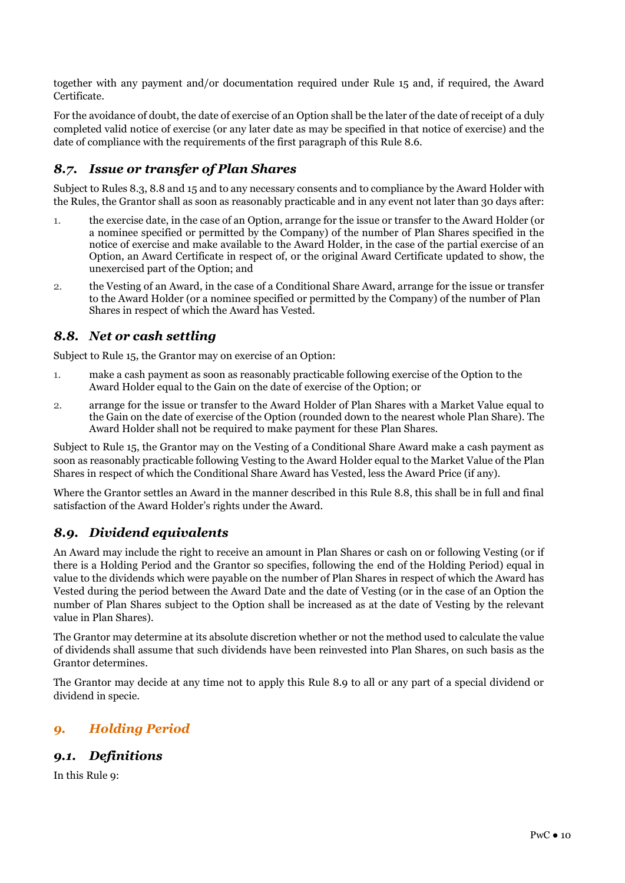together with any payment and/or documentation required under Rule 15 and, if required, the Award Certificate.

For the avoidance of doubt, the date of exercise of an Option shall be the later of the date of receipt of a duly completed valid notice of exercise (or any later date as may be specified in that notice of exercise) and the date of compliance with the requirements of the first paragraph of this Rule 8.6.

# *8.7. Issue or transfer of Plan Shares*

Subject to Rules 8.3, 8.8 and 15 and to any necessary consents and to compliance by the Award Holder with the Rules, the Grantor shall as soon as reasonably practicable and in any event not later than 30 days after:

- 1. the exercise date, in the case of an Option, arrange for the issue or transfer to the Award Holder (or a nominee specified or permitted by the Company) of the number of Plan Shares specified in the notice of exercise and make available to the Award Holder, in the case of the partial exercise of an Option, an Award Certificate in respect of, or the original Award Certificate updated to show, the unexercised part of the Option; and
- 2. the Vesting of an Award, in the case of a Conditional Share Award, arrange for the issue or transfer to the Award Holder (or a nominee specified or permitted by the Company) of the number of Plan Shares in respect of which the Award has Vested.

# *8.8. Net or cash settling*

Subject to Rule 15, the Grantor may on exercise of an Option:

- 1. make a cash payment as soon as reasonably practicable following exercise of the Option to the Award Holder equal to the Gain on the date of exercise of the Option; or
- 2. arrange for the issue or transfer to the Award Holder of Plan Shares with a Market Value equal to the Gain on the date of exercise of the Option (rounded down to the nearest whole Plan Share). The Award Holder shall not be required to make payment for these Plan Shares.

Subject to Rule 15, the Grantor may on the Vesting of a Conditional Share Award make a cash payment as soon as reasonably practicable following Vesting to the Award Holder equal to the Market Value of the Plan Shares in respect of which the Conditional Share Award has Vested, less the Award Price (if any).

Where the Grantor settles an Award in the manner described in this Rule 8.8, this shall be in full and final satisfaction of the Award Holder's rights under the Award.

# *8.9. Dividend equivalents*

An Award may include the right to receive an amount in Plan Shares or cash on or following Vesting (or if there is a Holding Period and the Grantor so specifies, following the end of the Holding Period) equal in value to the dividends which were payable on the number of Plan Shares in respect of which the Award has Vested during the period between the Award Date and the date of Vesting (or in the case of an Option the number of Plan Shares subject to the Option shall be increased as at the date of Vesting by the relevant value in Plan Shares).

The Grantor may determine at its absolute discretion whether or not the method used to calculate the value of dividends shall assume that such dividends have been reinvested into Plan Shares, on such basis as the Grantor determines.

The Grantor may decide at any time not to apply this Rule 8.9 to all or any part of a special dividend or dividend in specie.

# *9. Holding Period*

# *9.1. Definitions*

In this Rule 9: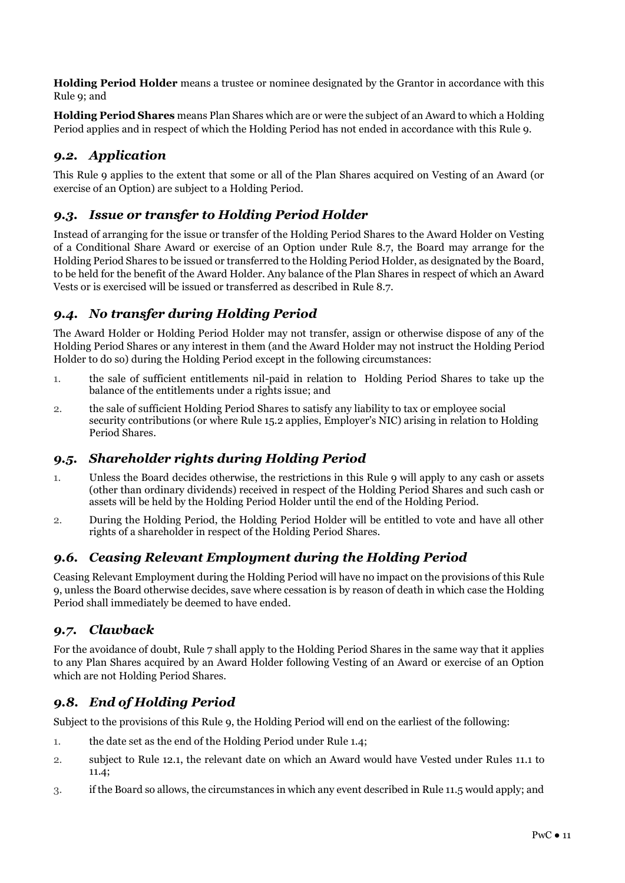**Holding Period Holder** means a trustee or nominee designated by the Grantor in accordance with this Rule 9; and

**Holding Period Shares** means Plan Shares which are or were the subject of an Award to which a Holding Period applies and in respect of which the Holding Period has not ended in accordance with this Rule 9.

# *9.2. Application*

This Rule 9 applies to the extent that some or all of the Plan Shares acquired on Vesting of an Award (or exercise of an Option) are subject to a Holding Period.

# *9.3. Issue or transfer to Holding Period Holder*

Instead of arranging for the issue or transfer of the Holding Period Shares to the Award Holder on Vesting of a Conditional Share Award or exercise of an Option under Rule 8.7, the Board may arrange for the Holding Period Shares to be issued or transferred to the Holding Period Holder, as designated by the Board, to be held for the benefit of the Award Holder. Any balance of the Plan Shares in respect of which an Award Vests or is exercised will be issued or transferred as described in Rule 8.7.

# *9.4. No transfer during Holding Period*

The Award Holder or Holding Period Holder may not transfer, assign or otherwise dispose of any of the Holding Period Shares or any interest in them (and the Award Holder may not instruct the Holding Period Holder to do so) during the Holding Period except in the following circumstances:

- 1. the sale of sufficient entitlements nil-paid in relation to Holding Period Shares to take up the balance of the entitlements under a rights issue; and
- 2. the sale of sufficient Holding Period Shares to satisfy any liability to tax or employee social security contributions (or where Rule 15.2 applies, Employer's NIC) arising in relation to Holding Period Shares.

# *9.5. Shareholder rights during Holding Period*

- 1. Unless the Board decides otherwise, the restrictions in this Rule 9 will apply to any cash or assets (other than ordinary dividends) received in respect of the Holding Period Shares and such cash or assets will be held by the Holding Period Holder until the end of the Holding Period.
- 2. During the Holding Period, the Holding Period Holder will be entitled to vote and have all other rights of a shareholder in respect of the Holding Period Shares.

# *9.6. Ceasing Relevant Employment during the Holding Period*

Ceasing Relevant Employment during the Holding Period will have no impact on the provisions of this Rule 9, unless the Board otherwise decides, save where cessation is by reason of death in which case the Holding Period shall immediately be deemed to have ended.

# *9.7. Clawback*

For the avoidance of doubt, Rule 7 shall apply to the Holding Period Shares in the same way that it applies to any Plan Shares acquired by an Award Holder following Vesting of an Award or exercise of an Option which are not Holding Period Shares.

# *9.8. End of Holding Period*

Subject to the provisions of this Rule 9, the Holding Period will end on the earliest of the following:

- 1. the date set as the end of the Holding Period under Rule 1.4;
- 2. subject to Rule 12.1, the relevant date on which an Award would have Vested under Rules 11.1 to 11.4;
- 3. if the Board so allows, the circumstances in which any event described in Rule 11.5 would apply; and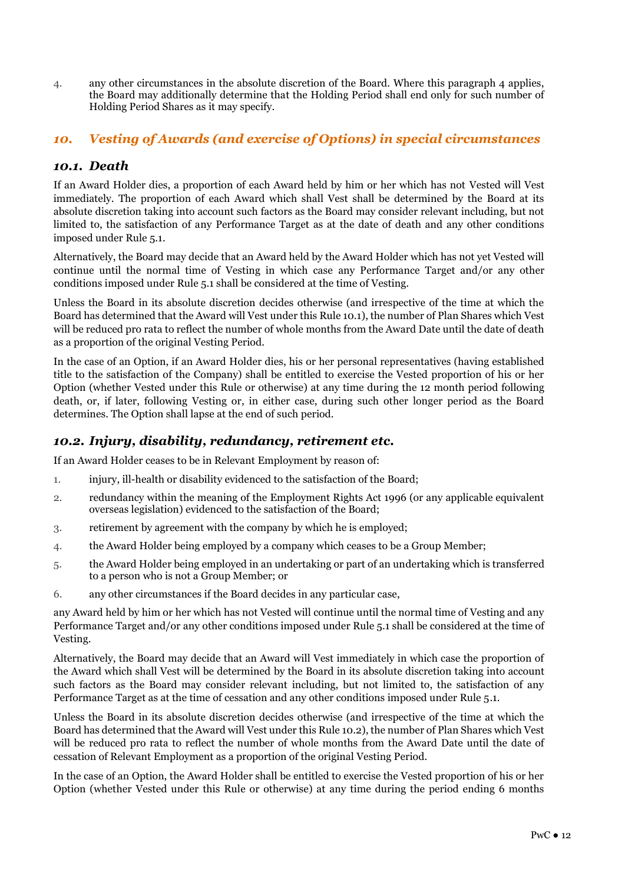4. any other circumstances in the absolute discretion of the Board. Where this paragraph 4 applies, the Board may additionally determine that the Holding Period shall end only for such number of Holding Period Shares as it may specify.

# *10. Vesting of Awards (and exercise of Options) in special circumstances*

# *10.1. Death*

If an Award Holder dies, a proportion of each Award held by him or her which has not Vested will Vest immediately. The proportion of each Award which shall Vest shall be determined by the Board at its absolute discretion taking into account such factors as the Board may consider relevant including, but not limited to, the satisfaction of any Performance Target as at the date of death and any other conditions imposed under Rule 5.1.

Alternatively, the Board may decide that an Award held by the Award Holder which has not yet Vested will continue until the normal time of Vesting in which case any Performance Target and/or any other conditions imposed under Rule 5.1 shall be considered at the time of Vesting.

Unless the Board in its absolute discretion decides otherwise (and irrespective of the time at which the Board has determined that the Award will Vest under this Rule 10.1), the number of Plan Shares which Vest will be reduced pro rata to reflect the number of whole months from the Award Date until the date of death as a proportion of the original Vesting Period.

In the case of an Option, if an Award Holder dies, his or her personal representatives (having established title to the satisfaction of the Company) shall be entitled to exercise the Vested proportion of his or her Option (whether Vested under this Rule or otherwise) at any time during the 12 month period following death, or, if later, following Vesting or, in either case, during such other longer period as the Board determines. The Option shall lapse at the end of such period.

# *10.2. Injury, disability, redundancy, retirement etc.*

If an Award Holder ceases to be in Relevant Employment by reason of:

- 1. injury, ill-health or disability evidenced to the satisfaction of the Board;
- 2. redundancy within the meaning of the Employment Rights Act 1996 (or any applicable equivalent overseas legislation) evidenced to the satisfaction of the Board;
- 3. retirement by agreement with the company by which he is employed;
- 4. the Award Holder being employed by a company which ceases to be a Group Member;
- 5. the Award Holder being employed in an undertaking or part of an undertaking which is transferred to a person who is not a Group Member; or
- 6. any other circumstances if the Board decides in any particular case,

any Award held by him or her which has not Vested will continue until the normal time of Vesting and any Performance Target and/or any other conditions imposed under Rule 5.1 shall be considered at the time of Vesting.

Alternatively, the Board may decide that an Award will Vest immediately in which case the proportion of the Award which shall Vest will be determined by the Board in its absolute discretion taking into account such factors as the Board may consider relevant including, but not limited to, the satisfaction of any Performance Target as at the time of cessation and any other conditions imposed under Rule 5.1.

Unless the Board in its absolute discretion decides otherwise (and irrespective of the time at which the Board has determined that the Award will Vest under this Rule 10.2), the number of Plan Shares which Vest will be reduced pro rata to reflect the number of whole months from the Award Date until the date of cessation of Relevant Employment as a proportion of the original Vesting Period.

In the case of an Option, the Award Holder shall be entitled to exercise the Vested proportion of his or her Option (whether Vested under this Rule or otherwise) at any time during the period ending 6 months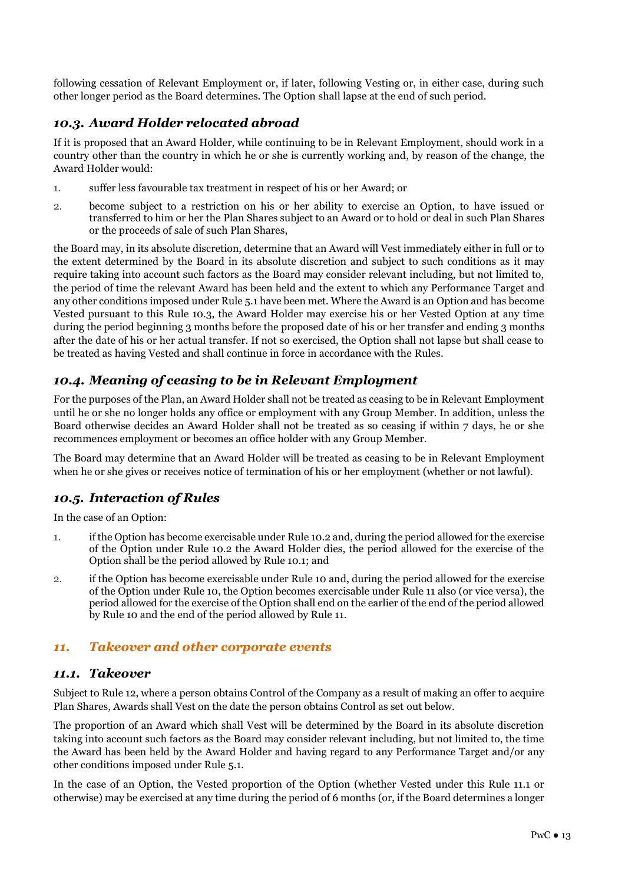following cessation of Relevant Employment or, if later, following Vesting or, in either case, during such other longer period as the Board determines. The Option shall lapse at the end of such period.

# *10.3. Award Holder relocated abroad*

If it is proposed that an Award Holder, while continuing to be in Relevant Employment, should work in a country other than the country in which he or she is currently working and, by reason of the change, the Award Holder would:

- 1. suffer less favourable tax treatment in respect of his or her Award; or
- 2. become subject to a restriction on his or her ability to exercise an Option, to have issued or transferred to him or her the Plan Shares subject to an Award or to hold or deal in such Plan Shares or the proceeds of sale of such Plan Shares,

the Board may, in its absolute discretion, determine that an Award will Vest immediately either in full or to the extent determined by the Board in its absolute discretion and subject to such conditions as it may require taking into account such factors as the Board may consider relevant including, but not limited to, the period of time the relevant Award has been held and the extent to which any Performance Target and any other conditions imposed under Rule 5.1 have been met. Where the Award is an Option and has become Vested pursuant to this Rule 10.3, the Award Holder may exercise his or her Vested Option at any time during the period beginning 3 months before the proposed date of his or her transfer and ending 3 months after the date of his or her actual transfer. If not so exercised, the Option shall not lapse but shall cease to be treated as having Vested and shall continue in force in accordance with the Rules.

# *10.4. Meaning of ceasing to be in Relevant Employment*

For the purposes of the Plan, an Award Holder shall not be treated as ceasing to be in Relevant Employment until he or she no longer holds any office or employment with any Group Member. In addition, unless the Board otherwise decides an Award Holder shall not be treated as so ceasing if within 7 days, he or she recommences employment or becomes an office holder with any Group Member.

The Board may determine that an Award Holder will be treated as ceasing to be in Relevant Employment when he or she gives or receives notice of termination of his or her employment (whether or not lawful).

# *10.5. Interaction of Rules*

In the case of an Option:

- 1. if the Option has become exercisable under Rule 10.2 and, during the period allowed for the exercise of the Option under Rule 10.2 the Award Holder dies, the period allowed for the exercise of the Option shall be the period allowed by Rule 10.1; and
- 2. if the Option has become exercisable under Rule 10 and, during the period allowed for the exercise of the Option under Rule 10, the Option becomes exercisable under Rule 11 also (or vice versa), the period allowed for the exercise of the Option shall end on the earlier of the end of the period allowed by Rule 10 and the end of the period allowed by Rule 11.

# *11. Takeover and other corporate events*

#### *11.1. Takeover*

Subject to Rule 12, where a person obtains Control of the Company as a result of making an offer to acquire Plan Shares, Awards shall Vest on the date the person obtains Control as set out below.

The proportion of an Award which shall Vest will be determined by the Board in its absolute discretion taking into account such factors as the Board may consider relevant including, but not limited to, the time the Award has been held by the Award Holder and having regard to any Performance Target and/or any other conditions imposed under Rule 5.1.

In the case of an Option, the Vested proportion of the Option (whether Vested under this Rule 11.1 or otherwise) may be exercised at any time during the period of 6 months (or, if the Board determines a longer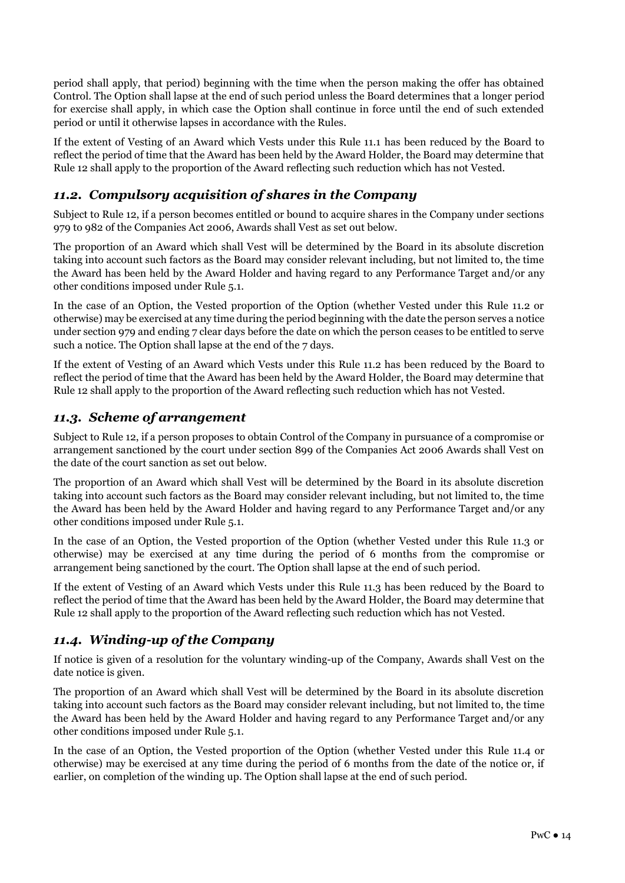period shall apply, that period) beginning with the time when the person making the offer has obtained Control. The Option shall lapse at the end of such period unless the Board determines that a longer period for exercise shall apply, in which case the Option shall continue in force until the end of such extended period or until it otherwise lapses in accordance with the Rules.

If the extent of Vesting of an Award which Vests under this Rule 11.1 has been reduced by the Board to reflect the period of time that the Award has been held by the Award Holder, the Board may determine that Rule 12 shall apply to the proportion of the Award reflecting such reduction which has not Vested.

# *11.2. Compulsory acquisition of shares in the Company*

Subject to Rule 12, if a person becomes entitled or bound to acquire shares in the Company under sections 979 to 982 of the Companies Act 2006, Awards shall Vest as set out below.

The proportion of an Award which shall Vest will be determined by the Board in its absolute discretion taking into account such factors as the Board may consider relevant including, but not limited to, the time the Award has been held by the Award Holder and having regard to any Performance Target and/or any other conditions imposed under Rule 5.1.

In the case of an Option, the Vested proportion of the Option (whether Vested under this Rule 11.2 or otherwise) may be exercised at any time during the period beginning with the date the person serves a notice under section 979 and ending 7 clear days before the date on which the person ceases to be entitled to serve such a notice. The Option shall lapse at the end of the 7 days.

If the extent of Vesting of an Award which Vests under this Rule 11.2 has been reduced by the Board to reflect the period of time that the Award has been held by the Award Holder, the Board may determine that Rule 12 shall apply to the proportion of the Award reflecting such reduction which has not Vested.

# *11.3. Scheme of arrangement*

Subject to Rule 12, if a person proposes to obtain Control of the Company in pursuance of a compromise or arrangement sanctioned by the court under section 899 of the Companies Act 2006 Awards shall Vest on the date of the court sanction as set out below.

The proportion of an Award which shall Vest will be determined by the Board in its absolute discretion taking into account such factors as the Board may consider relevant including, but not limited to, the time the Award has been held by the Award Holder and having regard to any Performance Target and/or any other conditions imposed under Rule 5.1.

In the case of an Option, the Vested proportion of the Option (whether Vested under this Rule 11.3 or otherwise) may be exercised at any time during the period of 6 months from the compromise or arrangement being sanctioned by the court. The Option shall lapse at the end of such period.

If the extent of Vesting of an Award which Vests under this Rule 11.3 has been reduced by the Board to reflect the period of time that the Award has been held by the Award Holder, the Board may determine that Rule 12 shall apply to the proportion of the Award reflecting such reduction which has not Vested.

# *11.4. Winding-up of the Company*

If notice is given of a resolution for the voluntary winding-up of the Company, Awards shall Vest on the date notice is given.

The proportion of an Award which shall Vest will be determined by the Board in its absolute discretion taking into account such factors as the Board may consider relevant including, but not limited to, the time the Award has been held by the Award Holder and having regard to any Performance Target and/or any other conditions imposed under Rule 5.1.

In the case of an Option, the Vested proportion of the Option (whether Vested under this Rule 11.4 or otherwise) may be exercised at any time during the period of 6 months from the date of the notice or, if earlier, on completion of the winding up. The Option shall lapse at the end of such period.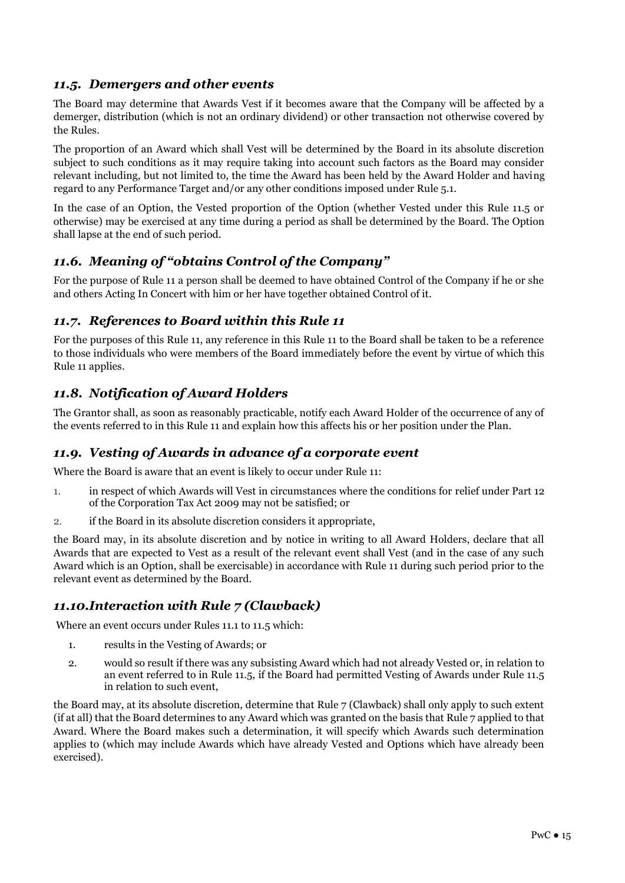# *11.5. Demergers and other events*

The Board may determine that Awards Vest if it becomes aware that the Company will be affected by a demerger, distribution (which is not an ordinary dividend) or other transaction not otherwise covered by the Rules.

The proportion of an Award which shall Vest will be determined by the Board in its absolute discretion subject to such conditions as it may require taking into account such factors as the Board may consider relevant including, but not limited to, the time the Award has been held by the Award Holder and having regard to any Performance Target and/or any other conditions imposed under Rule 5.1.

In the case of an Option, the Vested proportion of the Option (whether Vested under this Rule 11.5 or otherwise) may be exercised at any time during a period as shall be determined by the Board. The Option shall lapse at the end of such period.

#### *11.6. Meaning of "obtains Control of the Company"*

For the purpose of Rule 11 a person shall be deemed to have obtained Control of the Company if he or she and others Acting In Concert with him or her have together obtained Control of it.

#### *11.7. References to Board within this Rule 11*

For the purposes of this Rule 11, any reference in this Rule 11 to the Board shall be taken to be a reference to those individuals who were members of the Board immediately before the event by virtue of which this Rule 11 applies.

# *11.8. Notification of Award Holders*

The Grantor shall, as soon as reasonably practicable, notify each Award Holder of the occurrence of any of the events referred to in this Rule 11 and explain how this affects his or her position under the Plan.

#### *11.9. Vesting of Awards in advance of a corporate event*

Where the Board is aware that an event is likely to occur under Rule 11:

- 1. in respect of which Awards will Vest in circumstances where the conditions for relief under Part 12 of the Corporation Tax Act 2009 may not be satisfied; or
- 2. if the Board in its absolute discretion considers it appropriate,

the Board may, in its absolute discretion and by notice in writing to all Award Holders, declare that all Awards that are expected to Vest as a result of the relevant event shall Vest (and in the case of any such Award which is an Option, shall be exercisable) in accordance with Rule 11 during such period prior to the relevant event as determined by the Board.

# *11.10.Interaction with Rule 7 (Clawback)*

Where an event occurs under Rules 11.1 to 11.5 which:

- 1. results in the Vesting of Awards; or
- 2. would so result if there was any subsisting Award which had not already Vested or, in relation to an event referred to in Rule 11.5, if the Board had permitted Vesting of Awards under Rule 11.5 in relation to such event,

the Board may, at its absolute discretion, determine that Rule 7 (Clawback) shall only apply to such extent (if at all) that the Board determines to any Award which was granted on the basis that Rule 7 applied to that Award. Where the Board makes such a determination, it will specify which Awards such determination applies to (which may include Awards which have already Vested and Options which have already been exercised).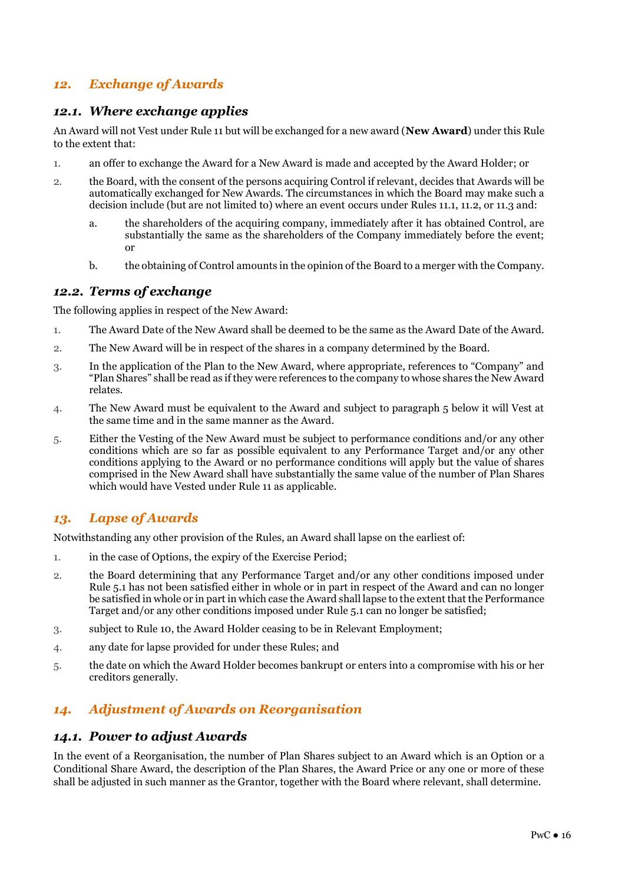# *12. Exchange of Awards*

#### *12.1. Where exchange applies*

An Award will not Vest under Rule 11 but will be exchanged for a new award (**New Award**) under this Rule to the extent that:

- 1. an offer to exchange the Award for a New Award is made and accepted by the Award Holder; or
- 2. the Board, with the consent of the persons acquiring Control if relevant, decides that Awards will be automatically exchanged for New Awards. The circumstances in which the Board may make such a decision include (but are not limited to) where an event occurs under Rules 11.1, 11.2, or 11.3 and:
	- a. the shareholders of the acquiring company, immediately after it has obtained Control, are substantially the same as the shareholders of the Company immediately before the event; or
	- b. the obtaining of Control amounts in the opinion of the Board to a merger with the Company.

#### *12.2. Terms of exchange*

The following applies in respect of the New Award:

- 1. The Award Date of the New Award shall be deemed to be the same as the Award Date of the Award.
- 2. The New Award will be in respect of the shares in a company determined by the Board.
- 3. In the application of the Plan to the New Award, where appropriate, references to "Company" and "Plan Shares" shall be read as if they were references to the company to whose shares the New Award relates.
- 4. The New Award must be equivalent to the Award and subject to paragraph 5 below it will Vest at the same time and in the same manner as the Award.
- 5. Either the Vesting of the New Award must be subject to performance conditions and/or any other conditions which are so far as possible equivalent to any Performance Target and/or any other conditions applying to the Award or no performance conditions will apply but the value of shares comprised in the New Award shall have substantially the same value of the number of Plan Shares which would have Vested under Rule 11 as applicable.

# *13. Lapse of Awards*

Notwithstanding any other provision of the Rules, an Award shall lapse on the earliest of:

- 1. in the case of Options, the expiry of the Exercise Period;
- 2. the Board determining that any Performance Target and/or any other conditions imposed under Rule 5.1 has not been satisfied either in whole or in part in respect of the Award and can no longer be satisfied in whole or in part in which case the Award shall lapse to the extent that the Performance Target and/or any other conditions imposed under Rule 5.1 can no longer be satisfied;
- 3. subject to Rule 10, the Award Holder ceasing to be in Relevant Employment;
- 4. any date for lapse provided for under these Rules; and
- 5. the date on which the Award Holder becomes bankrupt or enters into a compromise with his or her creditors generally.

# *14. Adjustment of Awards on Reorganisation*

#### *14.1. Power to adjust Awards*

In the event of a Reorganisation, the number of Plan Shares subject to an Award which is an Option or a Conditional Share Award, the description of the Plan Shares, the Award Price or any one or more of these shall be adjusted in such manner as the Grantor, together with the Board where relevant, shall determine.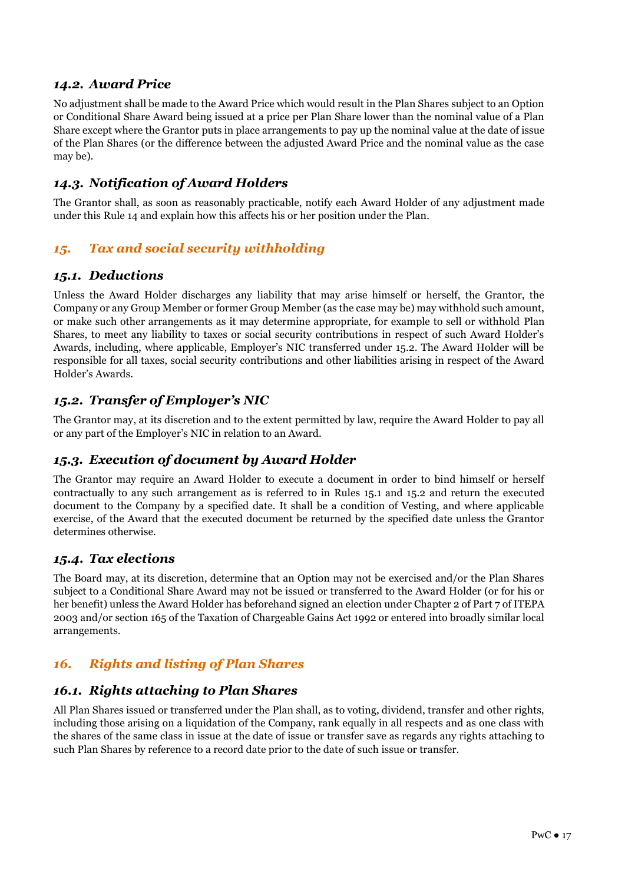#### *14.2. Award Price*

No adjustment shall be made to the Award Price which would result in the Plan Shares subject to an Option or Conditional Share Award being issued at a price per Plan Share lower than the nominal value of a Plan Share except where the Grantor puts in place arrangements to pay up the nominal value at the date of issue of the Plan Shares (or the difference between the adjusted Award Price and the nominal value as the case may be).

# *14.3. Notification of Award Holders*

The Grantor shall, as soon as reasonably practicable, notify each Award Holder of any adjustment made under this Rule 14 and explain how this affects his or her position under the Plan.

# *15. Tax and social security withholding*

#### *15.1. Deductions*

Unless the Award Holder discharges any liability that may arise himself or herself, the Grantor, the Company or any Group Member or former Group Member (as the case may be) may withhold such amount, or make such other arrangements as it may determine appropriate, for example to sell or withhold Plan Shares, to meet any liability to taxes or social security contributions in respect of such Award Holder's Awards, including, where applicable, Employer's NIC transferred under 15.2. The Award Holder will be responsible for all taxes, social security contributions and other liabilities arising in respect of the Award Holder's Awards.

# *15.2. Transfer of Employer's NIC*

The Grantor may, at its discretion and to the extent permitted by law, require the Award Holder to pay all or any part of the Employer's NIC in relation to an Award.

# *15.3. Execution of document by Award Holder*

The Grantor may require an Award Holder to execute a document in order to bind himself or herself contractually to any such arrangement as is referred to in Rules 15.1 and 15.2 and return the executed document to the Company by a specified date. It shall be a condition of Vesting, and where applicable exercise, of the Award that the executed document be returned by the specified date unless the Grantor determines otherwise.

# *15.4. Tax elections*

The Board may, at its discretion, determine that an Option may not be exercised and/or the Plan Shares subject to a Conditional Share Award may not be issued or transferred to the Award Holder (or for his or her benefit) unless the Award Holder has beforehand signed an election under Chapter 2 of Part 7 of ITEPA 2003 and/or section 165 of the Taxation of Chargeable Gains Act 1992 or entered into broadly similar local arrangements.

# *16. Rights and listing of Plan Shares*

# *16.1. Rights attaching to Plan Shares*

All Plan Shares issued or transferred under the Plan shall, as to voting, dividend, transfer and other rights, including those arising on a liquidation of the Company, rank equally in all respects and as one class with the shares of the same class in issue at the date of issue or transfer save as regards any rights attaching to such Plan Shares by reference to a record date prior to the date of such issue or transfer.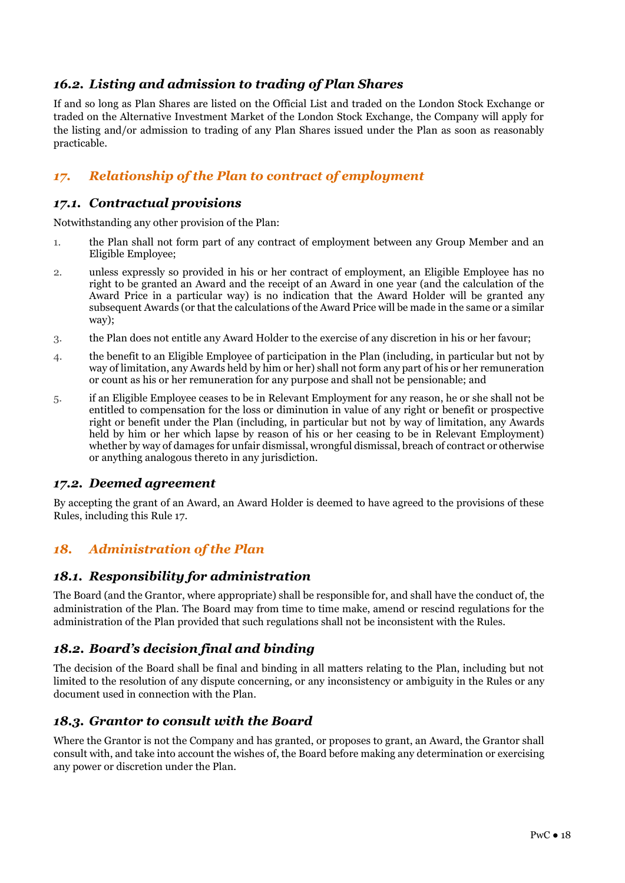# *16.2. Listing and admission to trading of Plan Shares*

If and so long as Plan Shares are listed on the Official List and traded on the London Stock Exchange or traded on the Alternative Investment Market of the London Stock Exchange, the Company will apply for the listing and/or admission to trading of any Plan Shares issued under the Plan as soon as reasonably practicable.

# *17. Relationship of the Plan to contract of employment*

#### *17.1. Contractual provisions*

Notwithstanding any other provision of the Plan:

- 1. the Plan shall not form part of any contract of employment between any Group Member and an Eligible Employee;
- 2. unless expressly so provided in his or her contract of employment, an Eligible Employee has no right to be granted an Award and the receipt of an Award in one year (and the calculation of the Award Price in a particular way) is no indication that the Award Holder will be granted any subsequent Awards (or that the calculations of the Award Price will be made in the same or a similar way);
- 3. the Plan does not entitle any Award Holder to the exercise of any discretion in his or her favour;
- 4. the benefit to an Eligible Employee of participation in the Plan (including, in particular but not by way of limitation, any Awards held by him or her) shall not form any part of his or her remuneration or count as his or her remuneration for any purpose and shall not be pensionable; and
- 5. if an Eligible Employee ceases to be in Relevant Employment for any reason, he or she shall not be entitled to compensation for the loss or diminution in value of any right or benefit or prospective right or benefit under the Plan (including, in particular but not by way of limitation, any Awards held by him or her which lapse by reason of his or her ceasing to be in Relevant Employment) whether by way of damages for unfair dismissal, wrongful dismissal, breach of contract or otherwise or anything analogous thereto in any jurisdiction.

#### *17.2. Deemed agreement*

By accepting the grant of an Award, an Award Holder is deemed to have agreed to the provisions of these Rules, including this Rule 17.

# *18. Administration of the Plan*

#### *18.1. Responsibility for administration*

The Board (and the Grantor, where appropriate) shall be responsible for, and shall have the conduct of, the administration of the Plan. The Board may from time to time make, amend or rescind regulations for the administration of the Plan provided that such regulations shall not be inconsistent with the Rules.

# *18.2. Board's decision final and binding*

The decision of the Board shall be final and binding in all matters relating to the Plan, including but not limited to the resolution of any dispute concerning, or any inconsistency or ambiguity in the Rules or any document used in connection with the Plan.

#### *18.3. Grantor to consult with the Board*

Where the Grantor is not the Company and has granted, or proposes to grant, an Award, the Grantor shall consult with, and take into account the wishes of, the Board before making any determination or exercising any power or discretion under the Plan.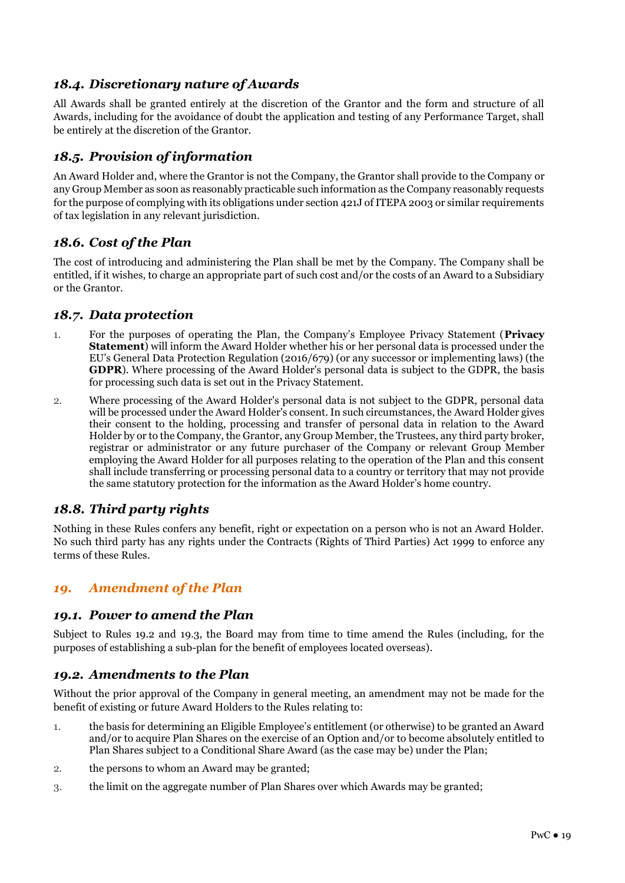# *18.4. Discretionary nature of Awards*

All Awards shall be granted entirely at the discretion of the Grantor and the form and structure of all Awards, including for the avoidance of doubt the application and testing of any Performance Target, shall be entirely at the discretion of the Grantor.

# *18.5. Provision of information*

An Award Holder and, where the Grantor is not the Company, the Grantor shall provide to the Company or any Group Member as soon as reasonably practicable such information as the Company reasonably requests for the purpose of complying with its obligations under section 421J of ITEPA 2003 or similar requirements of tax legislation in any relevant jurisdiction.

# *18.6. Cost of the Plan*

The cost of introducing and administering the Plan shall be met by the Company. The Company shall be entitled, if it wishes, to charge an appropriate part of such cost and/or the costs of an Award to a Subsidiary or the Grantor.

#### *18.7. Data protection*

- 1. For the purposes of operating the Plan, the Company's Employee Privacy Statement (**Privacy Statement**) will inform the Award Holder whether his or her personal data is processed under the EU's General Data Protection Regulation (2016/679) (or any successor or implementing laws) (the **GDPR**). Where processing of the Award Holder's personal data is subject to the GDPR, the basis for processing such data is set out in the Privacy Statement.
- 2. Where processing of the Award Holder's personal data is not subject to the GDPR, personal data will be processed under the Award Holder's consent. In such circumstances, the Award Holder gives their consent to the holding, processing and transfer of personal data in relation to the Award Holder by or to the Company, the Grantor, any Group Member, the Trustees, any third party broker, registrar or administrator or any future purchaser of the Company or relevant Group Member employing the Award Holder for all purposes relating to the operation of the Plan and this consent shall include transferring or processing personal data to a country or territory that may not provide the same statutory protection for the information as the Award Holder's home country.

# *18.8. Third party rights*

Nothing in these Rules confers any benefit, right or expectation on a person who is not an Award Holder. No such third party has any rights under the Contracts (Rights of Third Parties) Act 1999 to enforce any terms of these Rules.

# *19. Amendment of the Plan*

#### *19.1. Power to amend the Plan*

Subject to Rules 19.2 and 19.3, the Board may from time to time amend the Rules (including, for the purposes of establishing a sub-plan for the benefit of employees located overseas).

#### *19.2. Amendments to the Plan*

Without the prior approval of the Company in general meeting, an amendment may not be made for the benefit of existing or future Award Holders to the Rules relating to:

- 1. the basis for determining an Eligible Employee's entitlement (or otherwise) to be granted an Award and/or to acquire Plan Shares on the exercise of an Option and/or to become absolutely entitled to Plan Shares subject to a Conditional Share Award (as the case may be) under the Plan;
- 2. the persons to whom an Award may be granted;
- 3. the limit on the aggregate number of Plan Shares over which Awards may be granted;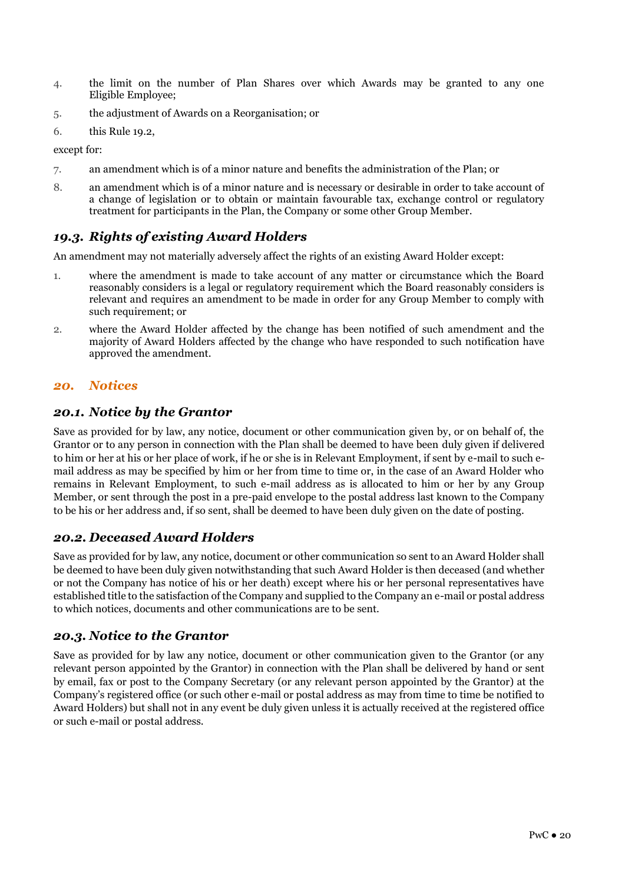- 4. the limit on the number of Plan Shares over which Awards may be granted to any one Eligible Employee;
- 5. the adjustment of Awards on a Reorganisation; or
- 6. this Rule 19.2,

except for:

- 7. an amendment which is of a minor nature and benefits the administration of the Plan; or
- 8. an amendment which is of a minor nature and is necessary or desirable in order to take account of a change of legislation or to obtain or maintain favourable tax, exchange control or regulatory treatment for participants in the Plan, the Company or some other Group Member.

# *19.3. Rights of existing Award Holders*

An amendment may not materially adversely affect the rights of an existing Award Holder except:

- 1. where the amendment is made to take account of any matter or circumstance which the Board reasonably considers is a legal or regulatory requirement which the Board reasonably considers is relevant and requires an amendment to be made in order for any Group Member to comply with such requirement; or
- 2. where the Award Holder affected by the change has been notified of such amendment and the majority of Award Holders affected by the change who have responded to such notification have approved the amendment.

# *20. Notices*

#### *20.1. Notice by the Grantor*

Save as provided for by law, any notice, document or other communication given by, or on behalf of, the Grantor or to any person in connection with the Plan shall be deemed to have been duly given if delivered to him or her at his or her place of work, if he or she is in Relevant Employment, if sent by e-mail to such email address as may be specified by him or her from time to time or, in the case of an Award Holder who remains in Relevant Employment, to such e-mail address as is allocated to him or her by any Group Member, or sent through the post in a pre-paid envelope to the postal address last known to the Company to be his or her address and, if so sent, shall be deemed to have been duly given on the date of posting.

#### *20.2. Deceased Award Holders*

Save as provided for by law, any notice, document or other communication so sent to an Award Holder shall be deemed to have been duly given notwithstanding that such Award Holder is then deceased (and whether or not the Company has notice of his or her death) except where his or her personal representatives have established title to the satisfaction of the Company and supplied to the Company an e-mail or postal address to which notices, documents and other communications are to be sent.

# *20.3. Notice to the Grantor*

Save as provided for by law any notice, document or other communication given to the Grantor (or any relevant person appointed by the Grantor) in connection with the Plan shall be delivered by hand or sent by email, fax or post to the Company Secretary (or any relevant person appointed by the Grantor) at the Company's registered office (or such other e-mail or postal address as may from time to time be notified to Award Holders) but shall not in any event be duly given unless it is actually received at the registered office or such e-mail or postal address.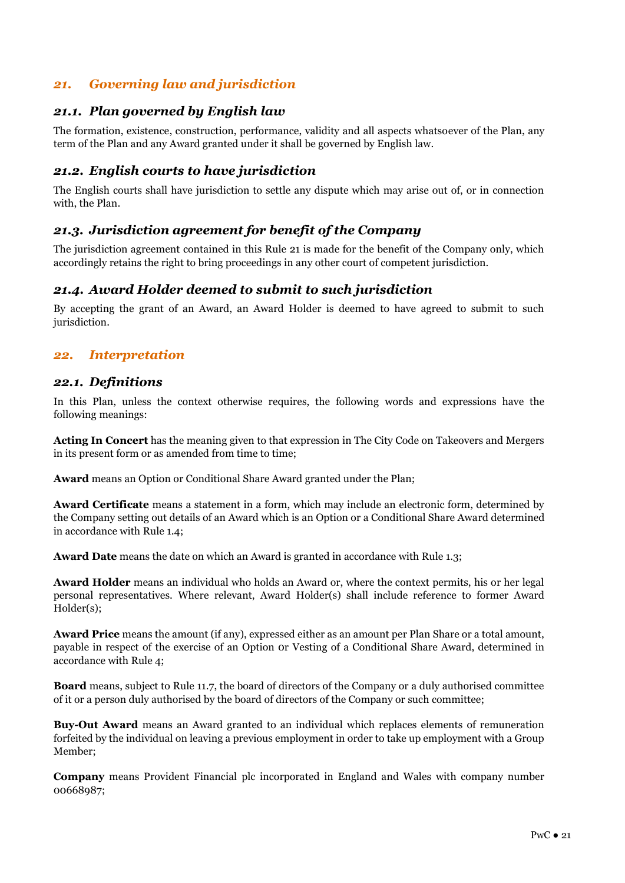# *21. Governing law and jurisdiction*

#### *21.1. Plan governed by English law*

The formation, existence, construction, performance, validity and all aspects whatsoever of the Plan, any term of the Plan and any Award granted under it shall be governed by English law.

#### *21.2. English courts to have jurisdiction*

The English courts shall have jurisdiction to settle any dispute which may arise out of, or in connection with, the Plan.

# *21.3. Jurisdiction agreement for benefit of the Company*

The jurisdiction agreement contained in this Rule 21 is made for the benefit of the Company only, which accordingly retains the right to bring proceedings in any other court of competent jurisdiction.

#### *21.4. Award Holder deemed to submit to such jurisdiction*

By accepting the grant of an Award, an Award Holder is deemed to have agreed to submit to such jurisdiction.

#### *22. Interpretation*

#### *22.1. Definitions*

In this Plan, unless the context otherwise requires, the following words and expressions have the following meanings:

**Acting In Concert** has the meaning given to that expression in The City Code on Takeovers and Mergers in its present form or as amended from time to time;

**Award** means an Option or Conditional Share Award granted under the Plan;

**Award Certificate** means a statement in a form, which may include an electronic form, determined by the Company setting out details of an Award which is an Option or a Conditional Share Award determined in accordance with Rule 1.4;

**Award Date** means the date on which an Award is granted in accordance with Rule 1.3;

**Award Holder** means an individual who holds an Award or, where the context permits, his or her legal personal representatives. Where relevant, Award Holder(s) shall include reference to former Award Holder(s);

**Award Price** means the amount (if any), expressed either as an amount per Plan Share or a total amount, payable in respect of the exercise of an Option 0r Vesting of a Conditional Share Award, determined in accordance with Rule 4;

**Board** means, subject to Rule 11.7, the board of directors of the Company or a duly authorised committee of it or a person duly authorised by the board of directors of the Company or such committee;

**Buy-Out Award** means an Award granted to an individual which replaces elements of remuneration forfeited by the individual on leaving a previous employment in order to take up employment with a Group Member;

**Company** means Provident Financial plc incorporated in England and Wales with company number 00668987;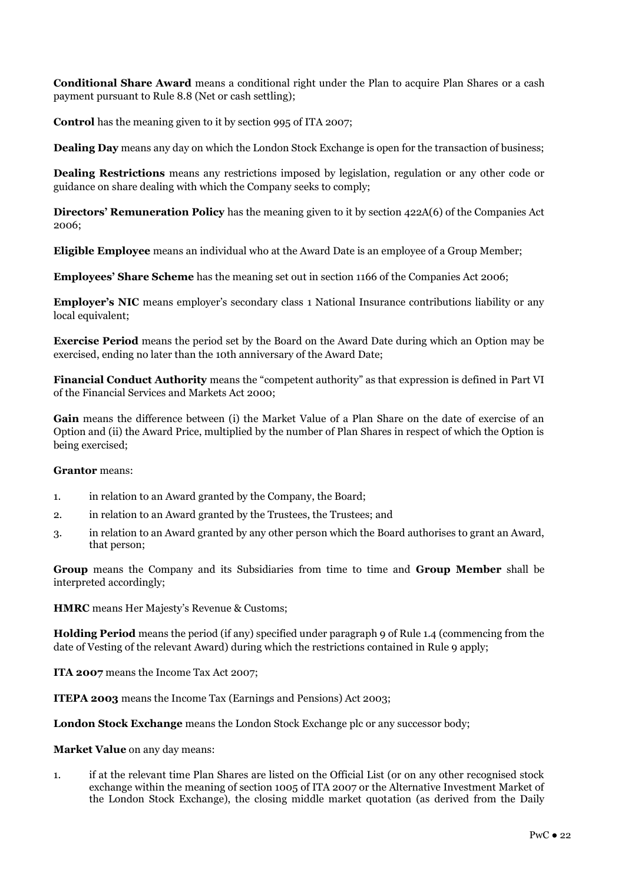**Conditional Share Award** means a conditional right under the Plan to acquire Plan Shares or a cash payment pursuant to Rule 8.8 (Net or cash settling);

**Control** has the meaning given to it by section 995 of ITA 2007;

**Dealing Day** means any day on which the London Stock Exchange is open for the transaction of business;

**Dealing Restrictions** means any restrictions imposed by legislation, regulation or any other code or guidance on share dealing with which the Company seeks to comply;

**Directors' Remuneration Policy** has the meaning given to it by section 422A(6) of the Companies Act 2006;

**Eligible Employee** means an individual who at the Award Date is an employee of a Group Member;

**Employees' Share Scheme** has the meaning set out in section 1166 of the Companies Act 2006;

**Employer's NIC** means employer's secondary class 1 National Insurance contributions liability or any local equivalent;

**Exercise Period** means the period set by the Board on the Award Date during which an Option may be exercised, ending no later than the 10th anniversary of the Award Date;

**Financial Conduct Authority** means the "competent authority" as that expression is defined in Part VI of the Financial Services and Markets Act 2000;

**Gain** means the difference between (i) the Market Value of a Plan Share on the date of exercise of an Option and (ii) the Award Price, multiplied by the number of Plan Shares in respect of which the Option is being exercised;

#### **Grantor** means:

- 1. in relation to an Award granted by the Company, the Board;
- 2. in relation to an Award granted by the Trustees, the Trustees; and
- 3. in relation to an Award granted by any other person which the Board authorises to grant an Award, that person;

**Group** means the Company and its Subsidiaries from time to time and **Group Member** shall be interpreted accordingly;

**HMRC** means Her Majesty's Revenue & Customs;

**Holding Period** means the period (if any) specified under paragraph 9 of Rule 1.4 (commencing from the date of Vesting of the relevant Award) during which the restrictions contained in Rule 9 apply;

**ITA 2007** means the Income Tax Act 2007;

**ITEPA 2003** means the Income Tax (Earnings and Pensions) Act 2003;

**London Stock Exchange** means the London Stock Exchange plc or any successor body;

**Market Value** on any day means:

1. if at the relevant time Plan Shares are listed on the Official List (or on any other recognised stock exchange within the meaning of section 1005 of ITA 2007 or the Alternative Investment Market of the London Stock Exchange), the closing middle market quotation (as derived from the Daily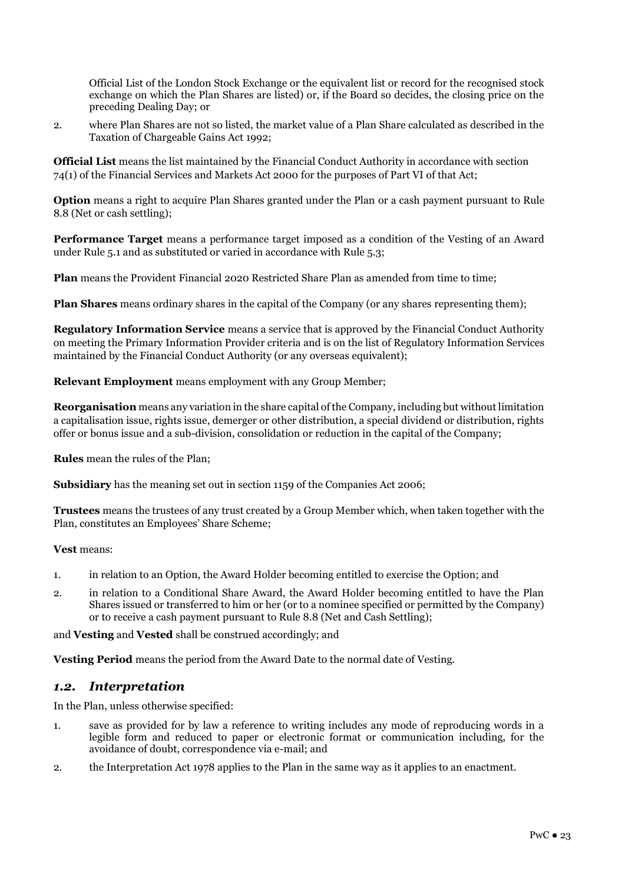Official List of the London Stock Exchange or the equivalent list or record for the recognised stock exchange on which the Plan Shares are listed) or, if the Board so decides, the closing price on the preceding Dealing Day; or

2. where Plan Shares are not so listed, the market value of a Plan Share calculated as described in the Taxation of Chargeable Gains Act 1992;

**Official List** means the list maintained by the Financial Conduct Authority in accordance with section 74(1) of the Financial Services and Markets Act 2000 for the purposes of Part VI of that Act;

**Option** means a right to acquire Plan Shares granted under the Plan or a cash payment pursuant to Rule 8.8 (Net or cash settling);

**Performance Target** means a performance target imposed as a condition of the Vesting of an Award under Rule 5.1 and as substituted or varied in accordance with Rule 5.3;

**Plan** means the Provident Financial 2020 Restricted Share Plan as amended from time to time;

**Plan Shares** means ordinary shares in the capital of the Company (or any shares representing them);

**Regulatory Information Service** means a service that is approved by the Financial Conduct Authority on meeting the Primary Information Provider criteria and is on the list of Regulatory Information Services maintained by the Financial Conduct Authority (or any overseas equivalent);

**Relevant Employment** means employment with any Group Member;

**Reorganisation** means any variation in the share capital of the Company, including but without limitation a capitalisation issue, rights issue, demerger or other distribution, a special dividend or distribution, rights offer or bonus issue and a sub-division, consolidation or reduction in the capital of the Company;

**Rules** mean the rules of the Plan;

**Subsidiary** has the meaning set out in section 1159 of the Companies Act 2006;

**Trustees** means the trustees of any trust created by a Group Member which, when taken together with the Plan, constitutes an Employees' Share Scheme;

**Vest** means:

- 1. in relation to an Option, the Award Holder becoming entitled to exercise the Option; and
- 2. in relation to a Conditional Share Award, the Award Holder becoming entitled to have the Plan Shares issued or transferred to him or her (or to a nominee specified or permitted by the Company) or to receive a cash payment pursuant to Rule 8.8 (Net and Cash Settling);

and **Vesting** and **Vested** shall be construed accordingly; and

**Vesting Period** means the period from the Award Date to the normal date of Vesting.

# *1.2. Interpretation*

In the Plan, unless otherwise specified:

- 1. save as provided for by law a reference to writing includes any mode of reproducing words in a legible form and reduced to paper or electronic format or communication including, for the avoidance of doubt, correspondence via e-mail; and
- 2. the Interpretation Act 1978 applies to the Plan in the same way as it applies to an enactment.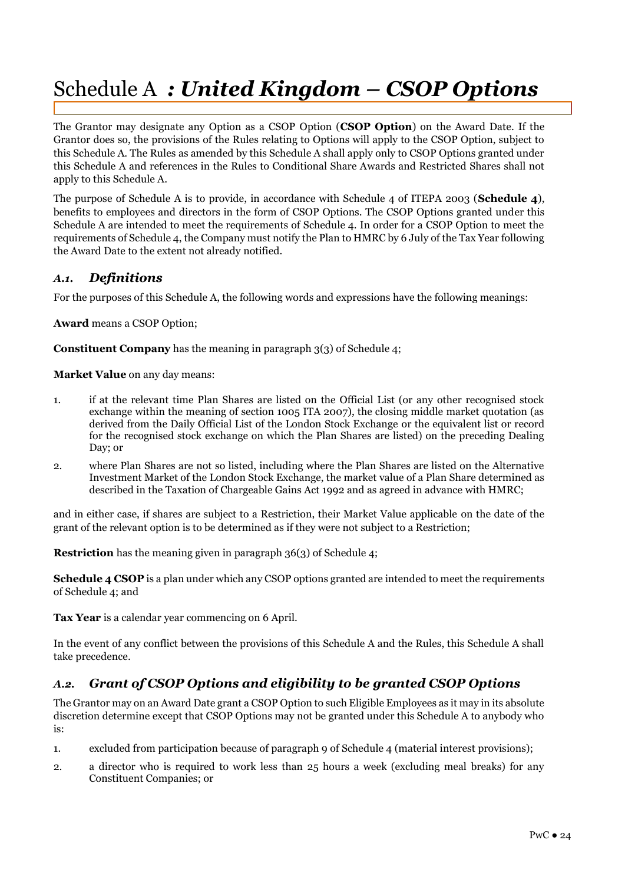# Schedule A *: United Kingdom – CSOP Options*

The Grantor may designate any Option as a CSOP Option (**CSOP Option**) on the Award Date. If the Grantor does so, the provisions of the Rules relating to Options will apply to the CSOP Option, subject to this Schedule A. The Rules as amended by this Schedule A shall apply only to CSOP Options granted under this Schedule A and references in the Rules to Conditional Share Awards and Restricted Shares shall not apply to this Schedule A.

The purpose of Schedule A is to provide, in accordance with Schedule 4 of ITEPA 2003 (**Schedule 4**), benefits to employees and directors in the form of CSOP Options. The CSOP Options granted under this Schedule A are intended to meet the requirements of Schedule 4. In order for a CSOP Option to meet the requirements of Schedule 4, the Company must notify the Plan to HMRC by 6 July of the Tax Year following the Award Date to the extent not already notified.

#### *A.1. Definitions*

For the purposes of this Schedule A, the following words and expressions have the following meanings:

**Award** means a CSOP Option;

**Constituent Company** has the meaning in paragraph 3(3) of Schedule 4;

**Market Value** on any day means:

- 1. if at the relevant time Plan Shares are listed on the Official List (or any other recognised stock exchange within the meaning of section 1005 ITA 2007), the closing middle market quotation (as derived from the Daily Official List of the London Stock Exchange or the equivalent list or record for the recognised stock exchange on which the Plan Shares are listed) on the preceding Dealing Day; or
- 2. where Plan Shares are not so listed, including where the Plan Shares are listed on the Alternative Investment Market of the London Stock Exchange, the market value of a Plan Share determined as described in the Taxation of Chargeable Gains Act 1992 and as agreed in advance with HMRC;

and in either case, if shares are subject to a Restriction, their Market Value applicable on the date of the grant of the relevant option is to be determined as if they were not subject to a Restriction;

**Restriction** has the meaning given in paragraph 36(3) of Schedule 4;

**Schedule 4 CSOP** is a plan under which any CSOP options granted are intended to meet the requirements of Schedule 4; and

**Tax Year** is a calendar year commencing on 6 April.

In the event of any conflict between the provisions of this Schedule A and the Rules, this Schedule A shall take precedence.

# *A.2. Grant of CSOP Options and eligibility to be granted CSOP Options*

The Grantor may on an Award Date grant a CSOP Option to such Eligible Employees as it may in its absolute discretion determine except that CSOP Options may not be granted under this Schedule A to anybody who is:

- 1. excluded from participation because of paragraph 9 of Schedule 4 (material interest provisions);
- 2. a director who is required to work less than 25 hours a week (excluding meal breaks) for any Constituent Companies; or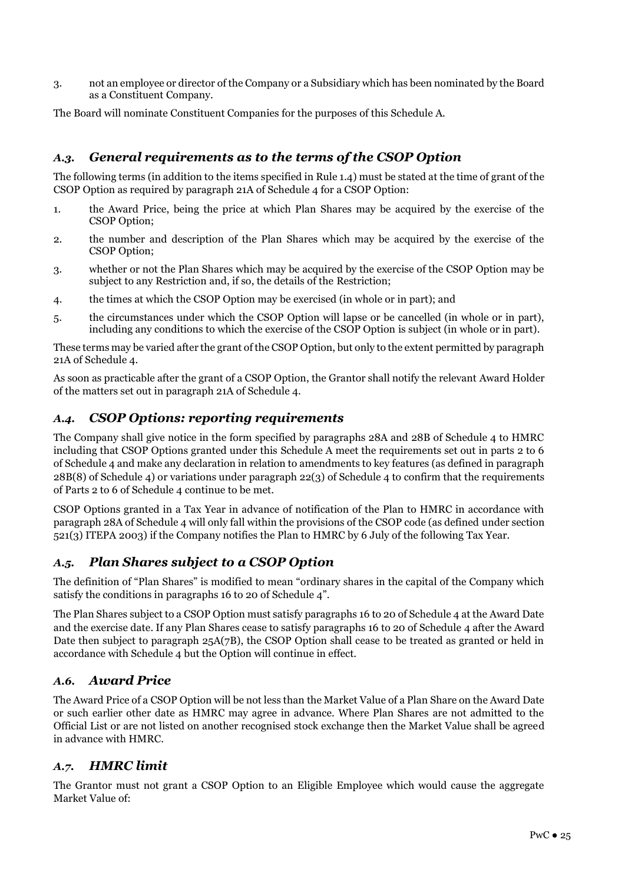3. not an employee or director of the Company or a Subsidiary which has been nominated by the Board as a Constituent Company.

The Board will nominate Constituent Companies for the purposes of this Schedule A.

# *A.3. General requirements as to the terms of the CSOP Option*

The following terms (in addition to the items specified in Rule 1.4) must be stated at the time of grant of the CSOP Option as required by paragraph 21A of Schedule 4 for a CSOP Option:

- 1. the Award Price, being the price at which Plan Shares may be acquired by the exercise of the CSOP Option;
- 2. the number and description of the Plan Shares which may be acquired by the exercise of the CSOP Option;
- 3. whether or not the Plan Shares which may be acquired by the exercise of the CSOP Option may be subject to any Restriction and, if so, the details of the Restriction;
- 4. the times at which the CSOP Option may be exercised (in whole or in part); and
- 5. the circumstances under which the CSOP Option will lapse or be cancelled (in whole or in part), including any conditions to which the exercise of the CSOP Option is subject (in whole or in part).

These terms may be varied after the grant of the CSOP Option, but only to the extent permitted by paragraph 21A of Schedule 4.

As soon as practicable after the grant of a CSOP Option, the Grantor shall notify the relevant Award Holder of the matters set out in paragraph 21A of Schedule 4.

# *A.4. CSOP Options: reporting requirements*

The Company shall give notice in the form specified by paragraphs 28A and 28B of Schedule 4 to HMRC including that CSOP Options granted under this Schedule A meet the requirements set out in parts 2 to 6 of Schedule 4 and make any declaration in relation to amendments to key features (as defined in paragraph 28B(8) of Schedule 4) or variations under paragraph 22(3) of Schedule 4 to confirm that the requirements of Parts 2 to 6 of Schedule 4 continue to be met.

CSOP Options granted in a Tax Year in advance of notification of the Plan to HMRC in accordance with paragraph 28A of Schedule 4 will only fall within the provisions of the CSOP code (as defined under section 521(3) ITEPA 2003) if the Company notifies the Plan to HMRC by 6 July of the following Tax Year.

# *A.5. Plan Shares subject to a CSOP Option*

The definition of "Plan Shares" is modified to mean "ordinary shares in the capital of the Company which satisfy the conditions in paragraphs 16 to 20 of Schedule 4".

The Plan Shares subject to a CSOP Option must satisfy paragraphs 16 to 20 of Schedule 4 at the Award Date and the exercise date. If any Plan Shares cease to satisfy paragraphs 16 to 20 of Schedule 4 after the Award Date then subject to paragraph 25A(7B), the CSOP Option shall cease to be treated as granted or held in accordance with Schedule 4 but the Option will continue in effect.

# *A.6. Award Price*

The Award Price of a CSOP Option will be not less than the Market Value of a Plan Share on the Award Date or such earlier other date as HMRC may agree in advance. Where Plan Shares are not admitted to the Official List or are not listed on another recognised stock exchange then the Market Value shall be agreed in advance with HMRC.

# *A.7. HMRC limit*

The Grantor must not grant a CSOP Option to an Eligible Employee which would cause the aggregate Market Value of: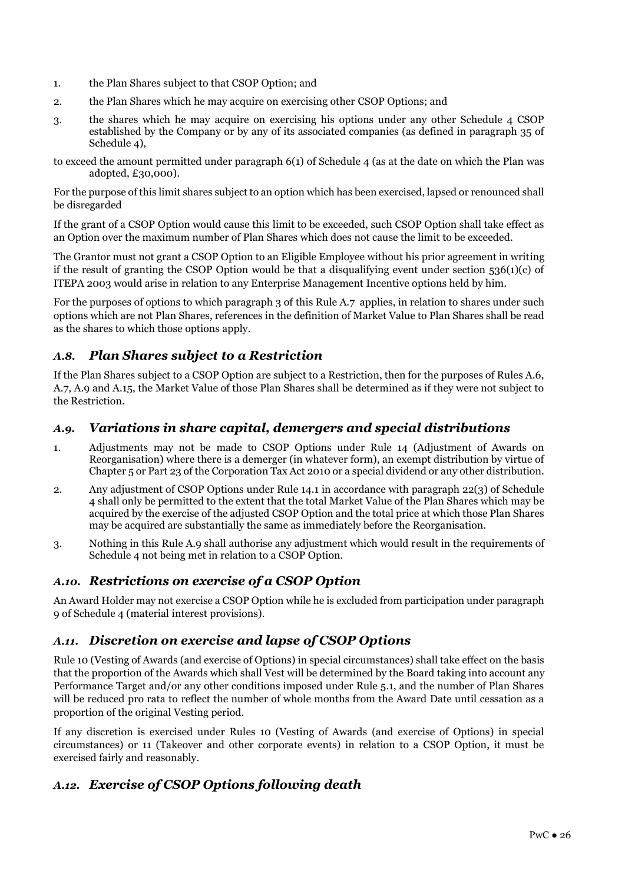- 1. the Plan Shares subject to that CSOP Option; and
- 2. the Plan Shares which he may acquire on exercising other CSOP Options; and
- 3. the shares which he may acquire on exercising his options under any other Schedule 4 CSOP established by the Company or by any of its associated companies (as defined in paragraph 35 of Schedule 4),
- to exceed the amount permitted under paragraph 6(1) of Schedule 4 (as at the date on which the Plan was adopted, £30,000).

For the purpose of this limit shares subject to an option which has been exercised, lapsed or renounced shall be disregarded

If the grant of a CSOP Option would cause this limit to be exceeded, such CSOP Option shall take effect as an Option over the maximum number of Plan Shares which does not cause the limit to be exceeded.

The Grantor must not grant a CSOP Option to an Eligible Employee without his prior agreement in writing if the result of granting the CSOP Option would be that a disqualifying event under section 536(1)(c) of ITEPA 2003 would arise in relation to any Enterprise Management Incentive options held by him.

For the purposes of options to which paragraph 3 of this Rule A.7 applies, in relation to shares under such options which are not Plan Shares, references in the definition of Market Value to Plan Shares shall be read as the shares to which those options apply.

# *A.8. Plan Shares subject to a Restriction*

If the Plan Shares subject to a CSOP Option are subject to a Restriction, then for the purposes of Rules A.6, A.7, A.9 and A.15, the Market Value of those Plan Shares shall be determined as if they were not subject to the Restriction.

# *A.9. Variations in share capital, demergers and special distributions*

- 1. Adjustments may not be made to CSOP Options under Rule 14 (Adjustment of Awards on Reorganisation) where there is a demerger (in whatever form), an exempt distribution by virtue of Chapter 5 or Part 23 of the Corporation Tax Act 2010 or a special dividend or any other distribution.
- 2. Any adjustment of CSOP Options under Rule 14.1 in accordance with paragraph 22(3) of Schedule 4 shall only be permitted to the extent that the total Market Value of the Plan Shares which may be acquired by the exercise of the adjusted CSOP Option and the total price at which those Plan Shares may be acquired are substantially the same as immediately before the Reorganisation.
- 3. Nothing in this Rule A.9 shall authorise any adjustment which would result in the requirements of Schedule 4 not being met in relation to a CSOP Option.

# *A.10. Restrictions on exercise of a CSOP Option*

An Award Holder may not exercise a CSOP Option while he is excluded from participation under paragraph 9 of Schedule 4 (material interest provisions).

# *A.11. Discretion on exercise and lapse of CSOP Options*

Rule 10 (Vesting of Awards (and exercise of Options) in special circumstances) shall take effect on the basis that the proportion of the Awards which shall Vest will be determined by the Board taking into account any Performance Target and/or any other conditions imposed under Rule 5.1, and the number of Plan Shares will be reduced pro rata to reflect the number of whole months from the Award Date until cessation as a proportion of the original Vesting period.

If any discretion is exercised under Rules 10 (Vesting of Awards (and exercise of Options) in special circumstances) or 11 (Takeover and other corporate events) in relation to a CSOP Option, it must be exercised fairly and reasonably.

# *A.12. Exercise of CSOP Options following death*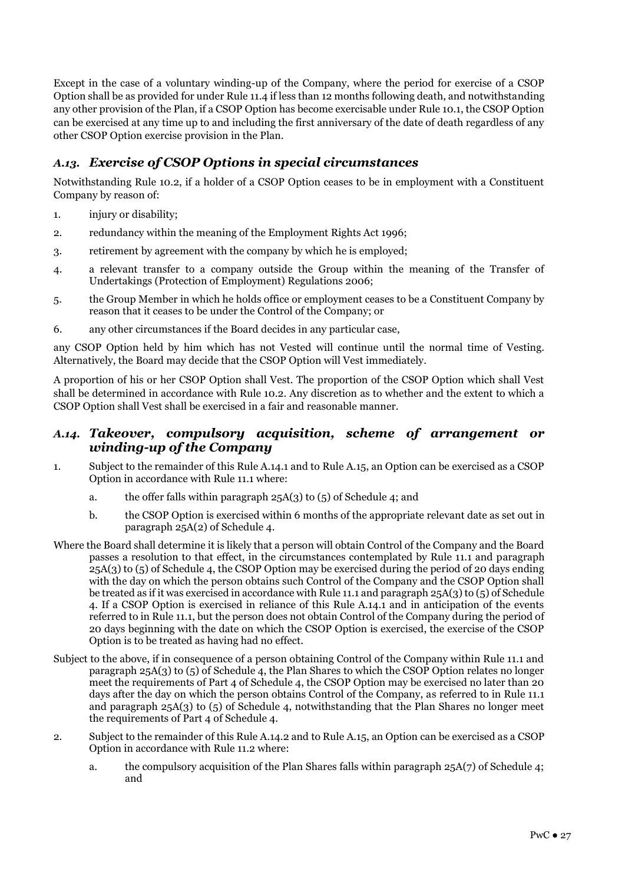Except in the case of a voluntary winding-up of the Company, where the period for exercise of a CSOP Option shall be as provided for under Rule 11.4 if less than 12 months following death, and notwithstanding any other provision of the Plan, if a CSOP Option has become exercisable under Rule 10.1, the CSOP Option can be exercised at any time up to and including the first anniversary of the date of death regardless of any other CSOP Option exercise provision in the Plan.

# *A.13. Exercise of CSOP Options in special circumstances*

Notwithstanding Rule 10.2, if a holder of a CSOP Option ceases to be in employment with a Constituent Company by reason of:

- 1. injury or disability;
- 2. redundancy within the meaning of the Employment Rights Act 1996;
- 3. retirement by agreement with the company by which he is employed;
- 4. a relevant transfer to a company outside the Group within the meaning of the Transfer of Undertakings (Protection of Employment) Regulations 2006;
- 5. the Group Member in which he holds office or employment ceases to be a Constituent Company by reason that it ceases to be under the Control of the Company; or
- 6. any other circumstances if the Board decides in any particular case,

any CSOP Option held by him which has not Vested will continue until the normal time of Vesting. Alternatively, the Board may decide that the CSOP Option will Vest immediately.

A proportion of his or her CSOP Option shall Vest. The proportion of the CSOP Option which shall Vest shall be determined in accordance with Rule 10.2. Any discretion as to whether and the extent to which a CSOP Option shall Vest shall be exercised in a fair and reasonable manner.

#### *A.14. Takeover, compulsory acquisition, scheme of arrangement or winding-up of the Company*

- 1. Subject to the remainder of this Rule A.14.1 and to Rule A.15, an Option can be exercised as a CSOP Option in accordance with Rule 11.1 where:
	- a. the offer falls within paragraph 25A(3) to (5) of Schedule 4; and
	- b. the CSOP Option is exercised within 6 months of the appropriate relevant date as set out in paragraph 25A(2) of Schedule 4.
- Where the Board shall determine it is likely that a person will obtain Control of the Company and the Board passes a resolution to that effect, in the circumstances contemplated by Rule 11.1 and paragraph 25A(3) to (5) of Schedule 4, the CSOP Option may be exercised during the period of 20 days ending with the day on which the person obtains such Control of the Company and the CSOP Option shall be treated as if it was exercised in accordance with Rule 11.1 and paragraph 25A(3) to (5) of Schedule 4. If a CSOP Option is exercised in reliance of this Rule A.14.1 and in anticipation of the events referred to in Rule 11.1, but the person does not obtain Control of the Company during the period of 20 days beginning with the date on which the CSOP Option is exercised, the exercise of the CSOP Option is to be treated as having had no effect.
- Subject to the above, if in consequence of a person obtaining Control of the Company within Rule 11.1 and paragraph 25A(3) to (5) of Schedule 4, the Plan Shares to which the CSOP Option relates no longer meet the requirements of Part 4 of Schedule 4, the CSOP Option may be exercised no later than 20 days after the day on which the person obtains Control of the Company, as referred to in Rule 11.1 and paragraph 25A(3) to (5) of Schedule 4, notwithstanding that the Plan Shares no longer meet the requirements of Part 4 of Schedule 4.
- 2. Subject to the remainder of this Rule A.14.2 and to Rule A.15, an Option can be exercised as a CSOP Option in accordance with Rule 11.2 where:
	- a. the compulsory acquisition of the Plan Shares falls within paragraph 25A(7) of Schedule 4; and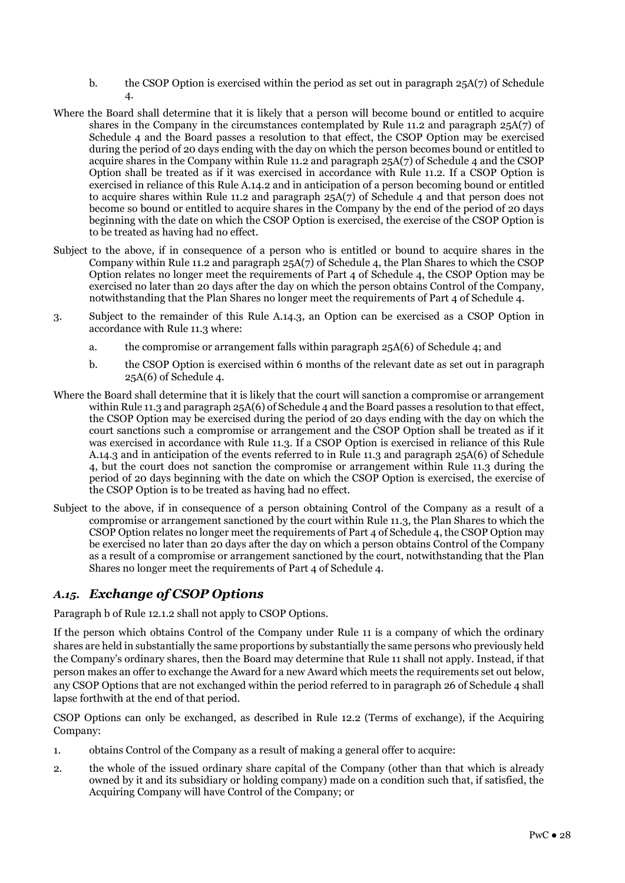- b. the CSOP Option is exercised within the period as set out in paragraph  $25A(7)$  of Schedule 4.
- Where the Board shall determine that it is likely that a person will become bound or entitled to acquire shares in the Company in the circumstances contemplated by Rule 11.2 and paragraph 25A(7) of Schedule 4 and the Board passes a resolution to that effect, the CSOP Option may be exercised during the period of 20 days ending with the day on which the person becomes bound or entitled to acquire shares in the Company within Rule 11.2 and paragraph 25A(7) of Schedule 4 and the CSOP Option shall be treated as if it was exercised in accordance with Rule 11.2. If a CSOP Option is exercised in reliance of this Rule A.14.2 and in anticipation of a person becoming bound or entitled to acquire shares within Rule 11.2 and paragraph  $25A(7)$  of Schedule 4 and that person does not become so bound or entitled to acquire shares in the Company by the end of the period of 20 days beginning with the date on which the CSOP Option is exercised, the exercise of the CSOP Option is to be treated as having had no effect.
- Subject to the above, if in consequence of a person who is entitled or bound to acquire shares in the Company within Rule 11.2 and paragraph 25A(7) of Schedule 4, the Plan Shares to which the CSOP Option relates no longer meet the requirements of Part 4 of Schedule 4, the CSOP Option may be exercised no later than 20 days after the day on which the person obtains Control of the Company, notwithstanding that the Plan Shares no longer meet the requirements of Part 4 of Schedule 4.
- 3. Subject to the remainder of this Rule A.14.3, an Option can be exercised as a CSOP Option in accordance with Rule 11.3 where:
	- a. the compromise or arrangement falls within paragraph 25A(6) of Schedule 4; and
	- b. the CSOP Option is exercised within 6 months of the relevant date as set out in paragraph 25A(6) of Schedule 4.
- Where the Board shall determine that it is likely that the court will sanction a compromise or arrangement within Rule 11.3 and paragraph 25A(6) of Schedule 4 and the Board passes a resolution to that effect, the CSOP Option may be exercised during the period of 20 days ending with the day on which the court sanctions such a compromise or arrangement and the CSOP Option shall be treated as if it was exercised in accordance with Rule 11.3. If a CSOP Option is exercised in reliance of this Rule A.14.3 and in anticipation of the events referred to in Rule 11.3 and paragraph 25A(6) of Schedule 4, but the court does not sanction the compromise or arrangement within Rule 11.3 during the period of 20 days beginning with the date on which the CSOP Option is exercised, the exercise of the CSOP Option is to be treated as having had no effect.
- Subject to the above, if in consequence of a person obtaining Control of the Company as a result of a compromise or arrangement sanctioned by the court within Rule 11.3, the Plan Shares to which the CSOP Option relates no longer meet the requirements of Part 4 of Schedule 4, the CSOP Option may be exercised no later than 20 days after the day on which a person obtains Control of the Company as a result of a compromise or arrangement sanctioned by the court, notwithstanding that the Plan Shares no longer meet the requirements of Part 4 of Schedule 4.

# *A.15. Exchange of CSOP Options*

Paragraph b of Rule 12.1.2 shall not apply to CSOP Options.

If the person which obtains Control of the Company under Rule 11 is a company of which the ordinary shares are held in substantially the same proportions by substantially the same persons who previously held the Company's ordinary shares, then the Board may determine that Rule 11 shall not apply. Instead, if that person makes an offer to exchange the Award for a new Award which meets the requirements set out below, any CSOP Options that are not exchanged within the period referred to in paragraph 26 of Schedule 4 shall lapse forthwith at the end of that period.

CSOP Options can only be exchanged, as described in Rule 12.2 (Terms of exchange), if the Acquiring Company:

- 1. obtains Control of the Company as a result of making a general offer to acquire:
- 2. the whole of the issued ordinary share capital of the Company (other than that which is already owned by it and its subsidiary or holding company) made on a condition such that, if satisfied, the Acquiring Company will have Control of the Company; or